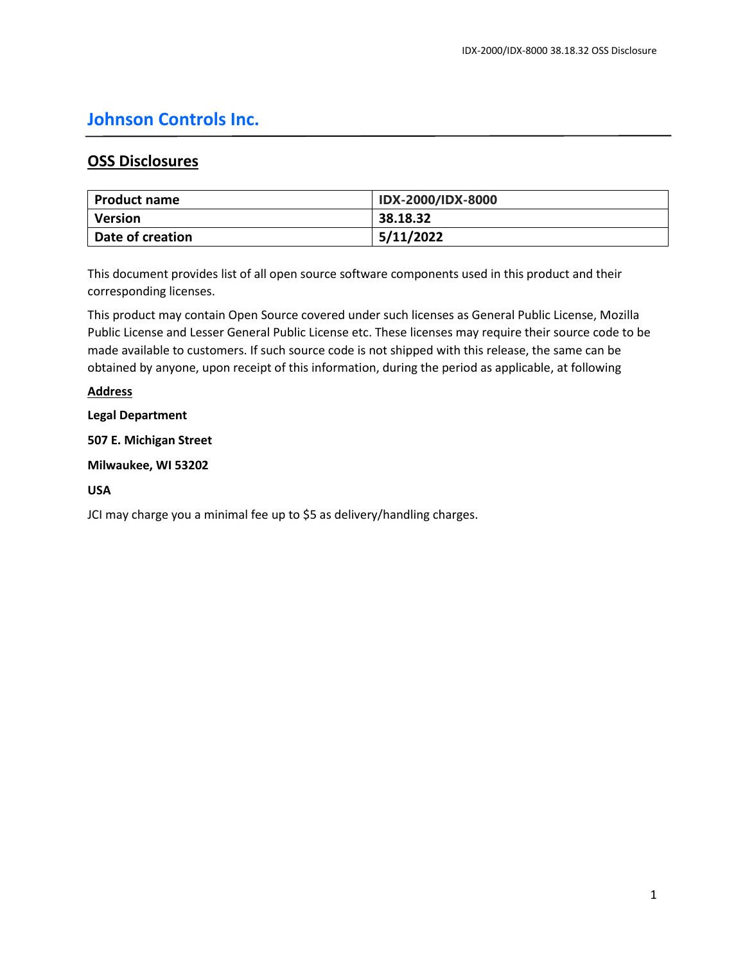# **Johnson Controls Inc.**

# **OSS Disclosures**

| Product name     | <b>IDX-2000/IDX-8000</b> |
|------------------|--------------------------|
| <b>Version</b>   | 38.18.32                 |
| Date of creation | 5/11/2022                |

This document provides list of all open source software components used in this product and their corresponding licenses.

This product may contain Open Source covered under such licenses as General Public License, Mozilla Public License and Lesser General Public License etc. These licenses may require their source code to be made available to customers. If such source code is not shipped with this release, the same can be obtained by anyone, upon receipt of this information, during the period as applicable, at following

# **Address**

# **Legal Department**

**507 E. Michigan Street**

**Milwaukee, WI 53202**

# **USA**

JCI may charge you a minimal fee up to \$5 as delivery/handling charges.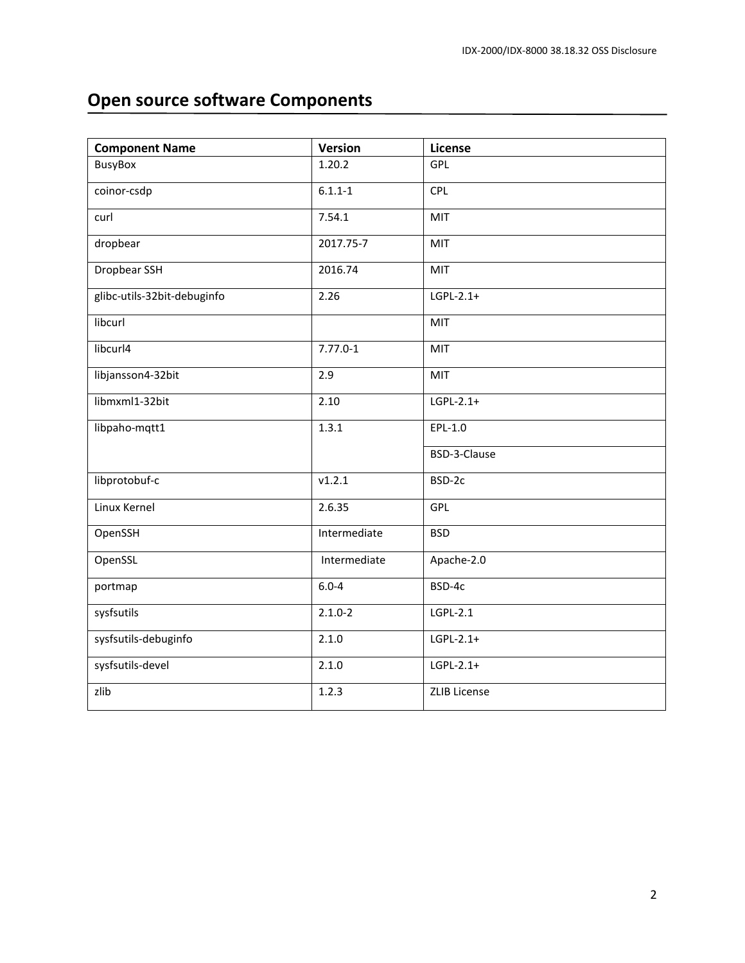# **Open source software Components**

| <b>Component Name</b>       | <b>Version</b> | License             |
|-----------------------------|----------------|---------------------|
| <b>BusyBox</b>              | 1.20.2         | GPL                 |
| coinor-csdp                 | $6.1.1 - 1$    | CPL                 |
| curl                        | 7.54.1         | MIT                 |
| dropbear                    | 2017.75-7      | MIT                 |
| Dropbear SSH                | 2016.74        | MIT                 |
| glibc-utils-32bit-debuginfo | 2.26           | $LGPL-2.1+$         |
| libcurl                     |                | MIT                 |
| libcurl4                    | $7.77.0 - 1$   | MIT                 |
| libjansson4-32bit           | 2.9            | MIT                 |
| libmxml1-32bit              | 2.10           | $LGPL-2.1+$         |
| libpaho-mqtt1               | 1.3.1          | $EPL-1.0$           |
|                             |                | BSD-3-Clause        |
| libprotobuf-c               | v1.2.1         | BSD-2c              |
| Linux Kernel                | 2.6.35         | GPL                 |
| OpenSSH                     | Intermediate   | <b>BSD</b>          |
| OpenSSL                     | Intermediate   | Apache-2.0          |
| portmap                     | $6.0 - 4$      | BSD-4c              |
| sysfsutils                  | $2.1.0 - 2$    | LGPL-2.1            |
| sysfsutils-debuginfo        | 2.1.0          | $LGPL-2.1+$         |
| sysfsutils-devel            | 2.1.0          | $LGPL-2.1+$         |
| zlib                        | 1.2.3          | <b>ZLIB License</b> |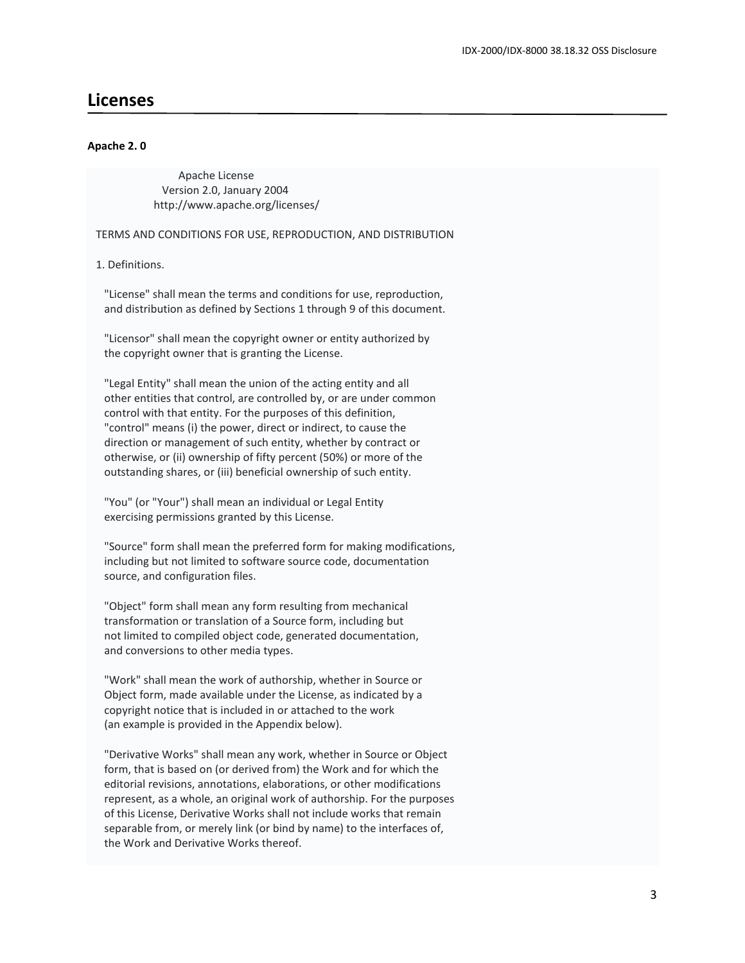# **Licenses**

#### **Apache 2. 0**

 Apache License Version 2.0, January 2004 http://www.apache.org/licenses/

TERMS AND CONDITIONS FOR USE, REPRODUCTION, AND DISTRIBUTION

1. Definitions.

 "License" shall mean the terms and conditions for use, reproduction, and distribution as defined by Sections 1 through 9 of this document.

 "Licensor" shall mean the copyright owner or entity authorized by the copyright owner that is granting the License.

 "Legal Entity" shall mean the union of the acting entity and all other entities that control, are controlled by, or are under common control with that entity. For the purposes of this definition, "control" means (i) the power, direct or indirect, to cause the direction or management of such entity, whether by contract or otherwise, or (ii) ownership of fifty percent (50%) or more of the outstanding shares, or (iii) beneficial ownership of such entity.

 "You" (or "Your") shall mean an individual or Legal Entity exercising permissions granted by this License.

 "Source" form shall mean the preferred form for making modifications, including but not limited to software source code, documentation source, and configuration files.

 "Object" form shall mean any form resulting from mechanical transformation or translation of a Source form, including but not limited to compiled object code, generated documentation, and conversions to other media types.

 "Work" shall mean the work of authorship, whether in Source or Object form, made available under the License, as indicated by a copyright notice that is included in or attached to the work (an example is provided in the Appendix below).

 "Derivative Works" shall mean any work, whether in Source or Object form, that is based on (or derived from) the Work and for which the editorial revisions, annotations, elaborations, or other modifications represent, as a whole, an original work of authorship. For the purposes of this License, Derivative Works shall not include works that remain separable from, or merely link (or bind by name) to the interfaces of, the Work and Derivative Works thereof.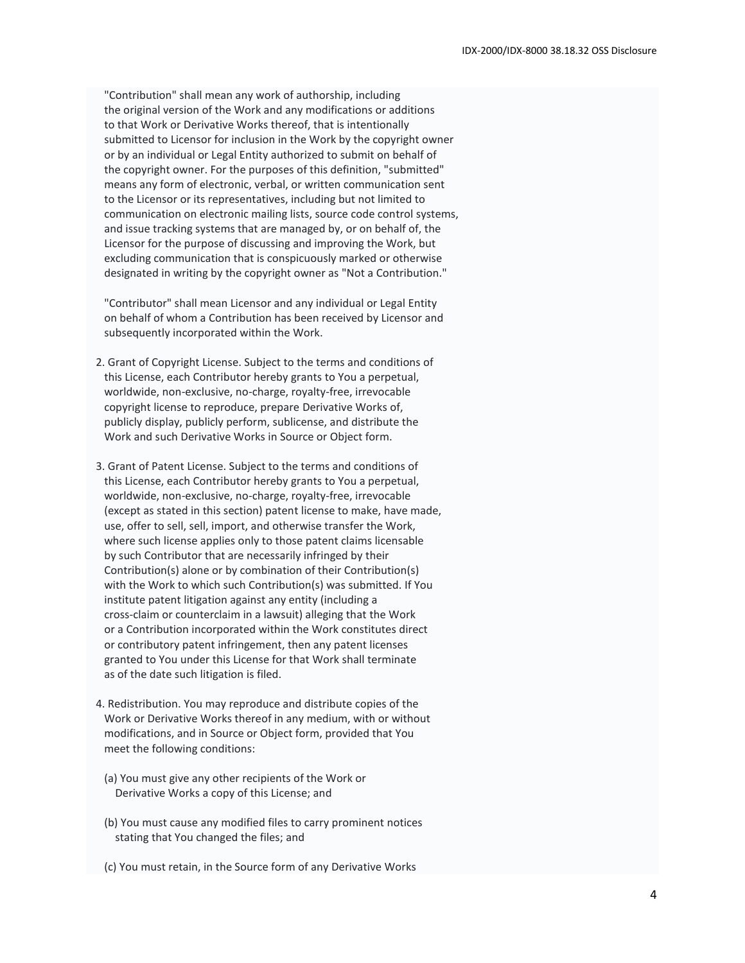"Contribution" shall mean any work of authorship, including the original version of the Work and any modifications or additions to that Work or Derivative Works thereof, that is intentionally submitted to Licensor for inclusion in the Work by the copyright owner or by an individual or Legal Entity authorized to submit on behalf of the copyright owner. For the purposes of this definition, "submitted" means any form of electronic, verbal, or written communication sent to the Licensor or its representatives, including but not limited to communication on electronic mailing lists, source code control systems, and issue tracking systems that are managed by, or on behalf of, the Licensor for the purpose of discussing and improving the Work, but excluding communication that is conspicuously marked or otherwise designated in writing by the copyright owner as "Not a Contribution."

 "Contributor" shall mean Licensor and any individual or Legal Entity on behalf of whom a Contribution has been received by Licensor and subsequently incorporated within the Work.

- 2. Grant of Copyright License. Subject to the terms and conditions of this License, each Contributor hereby grants to You a perpetual, worldwide, non-exclusive, no-charge, royalty-free, irrevocable copyright license to reproduce, prepare Derivative Works of, publicly display, publicly perform, sublicense, and distribute the Work and such Derivative Works in Source or Object form.
- 3. Grant of Patent License. Subject to the terms and conditions of this License, each Contributor hereby grants to You a perpetual, worldwide, non-exclusive, no-charge, royalty-free, irrevocable (except as stated in this section) patent license to make, have made, use, offer to sell, sell, import, and otherwise transfer the Work, where such license applies only to those patent claims licensable by such Contributor that are necessarily infringed by their Contribution(s) alone or by combination of their Contribution(s) with the Work to which such Contribution(s) was submitted. If You institute patent litigation against any entity (including a cross-claim or counterclaim in a lawsuit) alleging that the Work or a Contribution incorporated within the Work constitutes direct or contributory patent infringement, then any patent licenses granted to You under this License for that Work shall terminate as of the date such litigation is filed.
- 4. Redistribution. You may reproduce and distribute copies of the Work or Derivative Works thereof in any medium, with or without modifications, and in Source or Object form, provided that You meet the following conditions:
	- (a) You must give any other recipients of the Work or Derivative Works a copy of this License; and
	- (b) You must cause any modified files to carry prominent notices stating that You changed the files; and
- (c) You must retain, in the Source form of any Derivative Works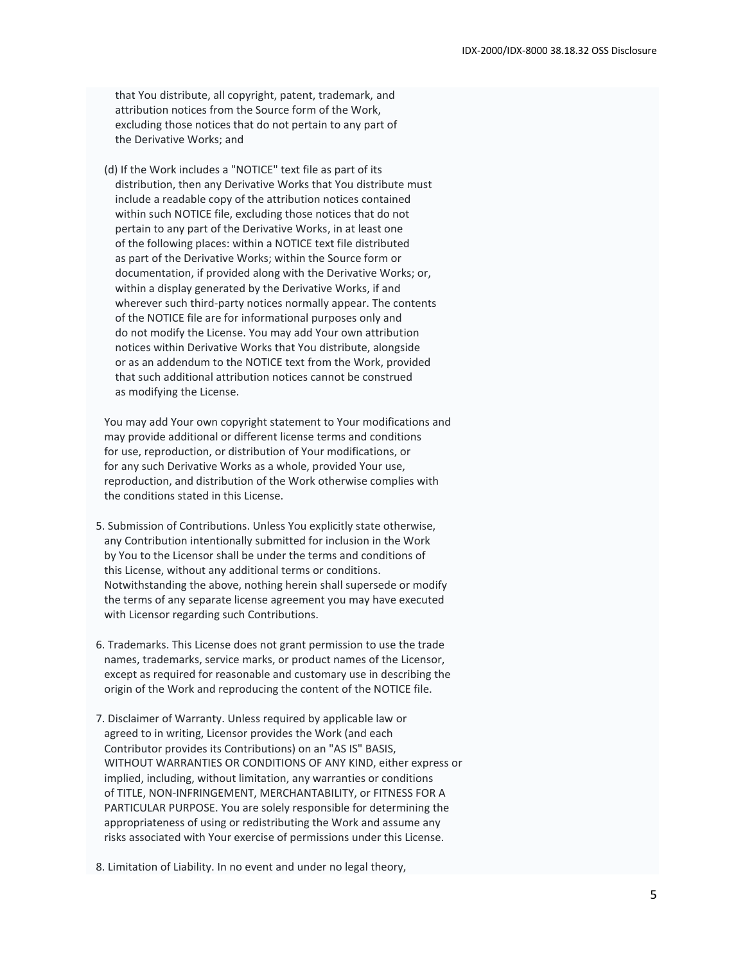that You distribute, all copyright, patent, trademark, and attribution notices from the Source form of the Work, excluding those notices that do not pertain to any part of the Derivative Works; and

 (d) If the Work includes a "NOTICE" text file as part of its distribution, then any Derivative Works that You distribute must include a readable copy of the attribution notices contained within such NOTICE file, excluding those notices that do not pertain to any part of the Derivative Works, in at least one of the following places: within a NOTICE text file distributed as part of the Derivative Works; within the Source form or documentation, if provided along with the Derivative Works; or, within a display generated by the Derivative Works, if and wherever such third-party notices normally appear. The contents of the NOTICE file are for informational purposes only and do not modify the License. You may add Your own attribution notices within Derivative Works that You distribute, alongside or as an addendum to the NOTICE text from the Work, provided that such additional attribution notices cannot be construed as modifying the License.

 You may add Your own copyright statement to Your modifications and may provide additional or different license terms and conditions for use, reproduction, or distribution of Your modifications, or for any such Derivative Works as a whole, provided Your use, reproduction, and distribution of the Work otherwise complies with the conditions stated in this License.

- 5. Submission of Contributions. Unless You explicitly state otherwise, any Contribution intentionally submitted for inclusion in the Work by You to the Licensor shall be under the terms and conditions of this License, without any additional terms or conditions. Notwithstanding the above, nothing herein shall supersede or modify the terms of any separate license agreement you may have executed with Licensor regarding such Contributions.
- 6. Trademarks. This License does not grant permission to use the trade names, trademarks, service marks, or product names of the Licensor, except as required for reasonable and customary use in describing the origin of the Work and reproducing the content of the NOTICE file.
- 7. Disclaimer of Warranty. Unless required by applicable law or agreed to in writing, Licensor provides the Work (and each Contributor provides its Contributions) on an "AS IS" BASIS, WITHOUT WARRANTIES OR CONDITIONS OF ANY KIND, either express or implied, including, without limitation, any warranties or conditions of TITLE, NON-INFRINGEMENT, MERCHANTABILITY, or FITNESS FOR A PARTICULAR PURPOSE. You are solely responsible for determining the appropriateness of using or redistributing the Work and assume any risks associated with Your exercise of permissions under this License.

8. Limitation of Liability. In no event and under no legal theory,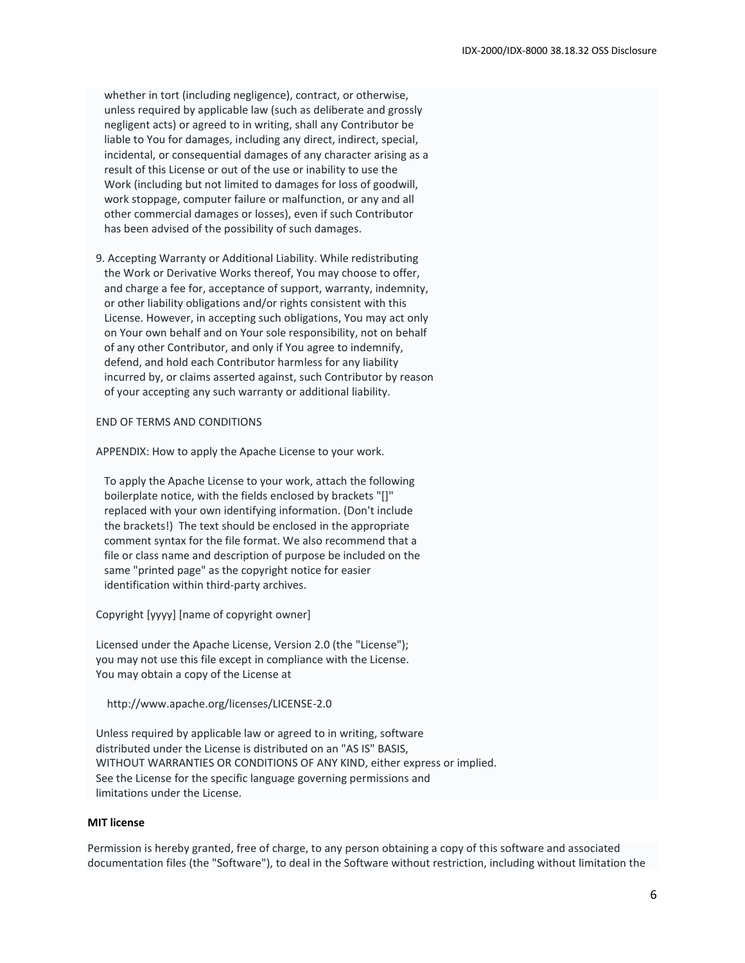whether in tort (including negligence), contract, or otherwise, unless required by applicable law (such as deliberate and grossly negligent acts) or agreed to in writing, shall any Contributor be liable to You for damages, including any direct, indirect, special, incidental, or consequential damages of any character arising as a result of this License or out of the use or inability to use the Work (including but not limited to damages for loss of goodwill, work stoppage, computer failure or malfunction, or any and all other commercial damages or losses), even if such Contributor has been advised of the possibility of such damages.

 9. Accepting Warranty or Additional Liability. While redistributing the Work or Derivative Works thereof, You may choose to offer, and charge a fee for, acceptance of support, warranty, indemnity, or other liability obligations and/or rights consistent with this License. However, in accepting such obligations, You may act only on Your own behalf and on Your sole responsibility, not on behalf of any other Contributor, and only if You agree to indemnify, defend, and hold each Contributor harmless for any liability incurred by, or claims asserted against, such Contributor by reason of your accepting any such warranty or additional liability.

#### END OF TERMS AND CONDITIONS

APPENDIX: How to apply the Apache License to your work.

 To apply the Apache License to your work, attach the following boilerplate notice, with the fields enclosed by brackets "[]" replaced with your own identifying information. (Don't include the brackets!) The text should be enclosed in the appropriate comment syntax for the file format. We also recommend that a file or class name and description of purpose be included on the same "printed page" as the copyright notice for easier identification within third-party archives.

Copyright [yyyy] [name of copyright owner]

 Licensed under the Apache License, Version 2.0 (the "License"); you may not use this file except in compliance with the License. You may obtain a copy of the License at

http://www.apache.org/licenses/LICENSE-2.0

 Unless required by applicable law or agreed to in writing, software distributed under the License is distributed on an "AS IS" BASIS, WITHOUT WARRANTIES OR CONDITIONS OF ANY KIND, either express or implied. See the License for the specific language governing permissions and limitations under the License.

#### **MIT license**

Permission is hereby granted, free of charge, to any person obtaining a copy of this software and associated documentation files (the "Software"), to deal in the Software without restriction, including without limitation the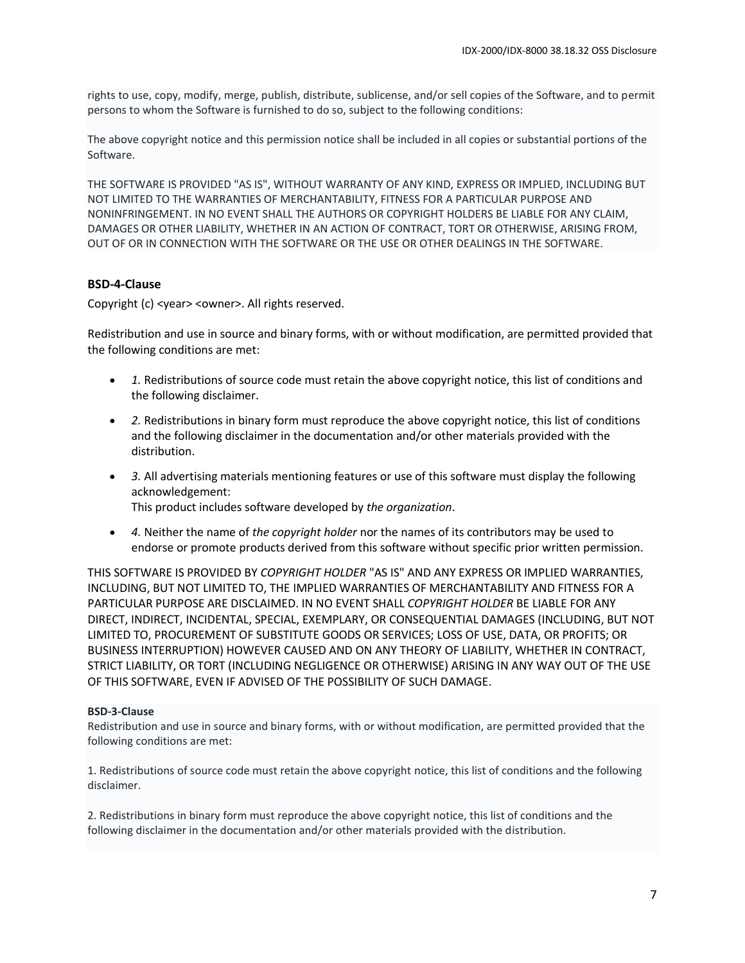rights to use, copy, modify, merge, publish, distribute, sublicense, and/or sell copies of the Software, and to permit persons to whom the Software is furnished to do so, subject to the following conditions:

The above copyright notice and this permission notice shall be included in all copies or substantial portions of the Software.

THE SOFTWARE IS PROVIDED "AS IS", WITHOUT WARRANTY OF ANY KIND, EXPRESS OR IMPLIED, INCLUDING BUT NOT LIMITED TO THE WARRANTIES OF MERCHANTABILITY, FITNESS FOR A PARTICULAR PURPOSE AND NONINFRINGEMENT. IN NO EVENT SHALL THE AUTHORS OR COPYRIGHT HOLDERS BE LIABLE FOR ANY CLAIM, DAMAGES OR OTHER LIABILITY, WHETHER IN AN ACTION OF CONTRACT, TORT OR OTHERWISE, ARISING FROM, OUT OF OR IN CONNECTION WITH THE SOFTWARE OR THE USE OR OTHER DEALINGS IN THE SOFTWARE.

#### **BSD-4-Clause**

Copyright (c) <year> <owner>. All rights reserved.

Redistribution and use in source and binary forms, with or without modification, are permitted provided that the following conditions are met:

- *1.* Redistributions of source code must retain the above copyright notice, this list of conditions and the following disclaimer.
- *2.* Redistributions in binary form must reproduce the above copyright notice, this list of conditions and the following disclaimer in the documentation and/or other materials provided with the distribution.
- *3.* All advertising materials mentioning features or use of this software must display the following acknowledgement: This product includes software developed by *the organization*.
- *4.* Neither the name of *the copyright holder* nor the names of its contributors may be used to endorse or promote products derived from this software without specific prior written permission.

THIS SOFTWARE IS PROVIDED BY *COPYRIGHT HOLDER* "AS IS" AND ANY EXPRESS OR IMPLIED WARRANTIES, INCLUDING, BUT NOT LIMITED TO, THE IMPLIED WARRANTIES OF MERCHANTABILITY AND FITNESS FOR A PARTICULAR PURPOSE ARE DISCLAIMED. IN NO EVENT SHALL *COPYRIGHT HOLDER* BE LIABLE FOR ANY DIRECT, INDIRECT, INCIDENTAL, SPECIAL, EXEMPLARY, OR CONSEQUENTIAL DAMAGES (INCLUDING, BUT NOT LIMITED TO, PROCUREMENT OF SUBSTITUTE GOODS OR SERVICES; LOSS OF USE, DATA, OR PROFITS; OR BUSINESS INTERRUPTION) HOWEVER CAUSED AND ON ANY THEORY OF LIABILITY, WHETHER IN CONTRACT, STRICT LIABILITY, OR TORT (INCLUDING NEGLIGENCE OR OTHERWISE) ARISING IN ANY WAY OUT OF THE USE OF THIS SOFTWARE, EVEN IF ADVISED OF THE POSSIBILITY OF SUCH DAMAGE.

#### **BSD-3-Clause**

Redistribution and use in source and binary forms, with or without modification, are permitted provided that the following conditions are met:

1. Redistributions of source code must retain the above copyright notice, this list of conditions and the following disclaimer.

2. Redistributions in binary form must reproduce the above copyright notice, this list of conditions and the following disclaimer in the documentation and/or other materials provided with the distribution.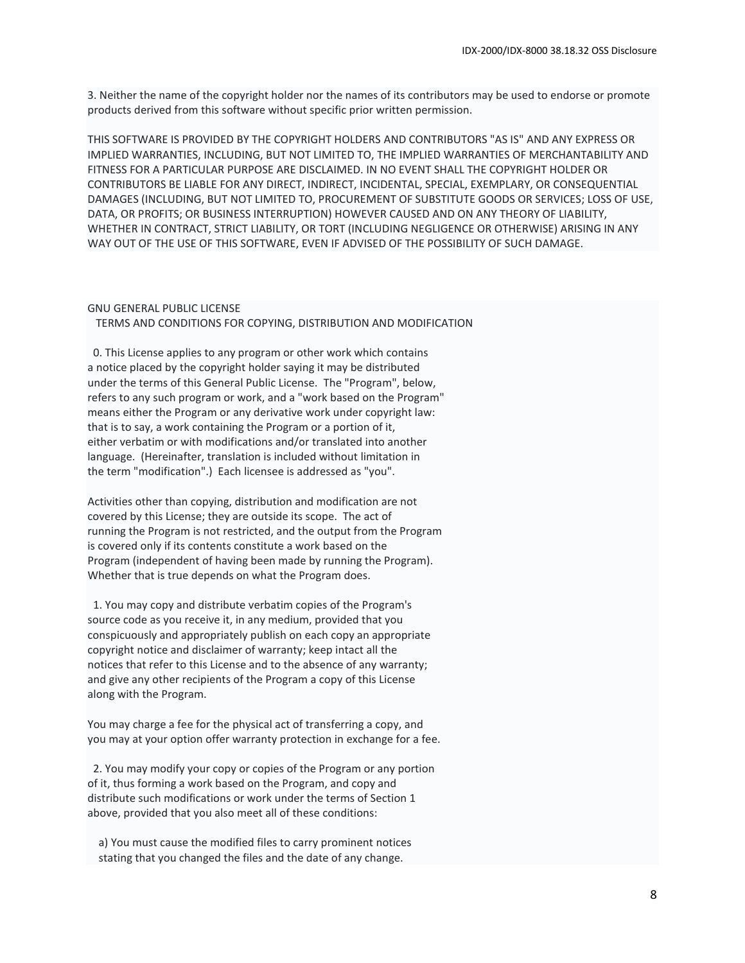3. Neither the name of the copyright holder nor the names of its contributors may be used to endorse or promote products derived from this software without specific prior written permission.

THIS SOFTWARE IS PROVIDED BY THE COPYRIGHT HOLDERS AND CONTRIBUTORS "AS IS" AND ANY EXPRESS OR IMPLIED WARRANTIES, INCLUDING, BUT NOT LIMITED TO, THE IMPLIED WARRANTIES OF MERCHANTABILITY AND FITNESS FOR A PARTICULAR PURPOSE ARE DISCLAIMED. IN NO EVENT SHALL THE COPYRIGHT HOLDER OR CONTRIBUTORS BE LIABLE FOR ANY DIRECT, INDIRECT, INCIDENTAL, SPECIAL, EXEMPLARY, OR CONSEQUENTIAL DAMAGES (INCLUDING, BUT NOT LIMITED TO, PROCUREMENT OF SUBSTITUTE GOODS OR SERVICES; LOSS OF USE, DATA, OR PROFITS; OR BUSINESS INTERRUPTION) HOWEVER CAUSED AND ON ANY THEORY OF LIABILITY, WHETHER IN CONTRACT, STRICT LIABILITY, OR TORT (INCLUDING NEGLIGENCE OR OTHERWISE) ARISING IN ANY WAY OUT OF THE USE OF THIS SOFTWARE, EVEN IF ADVISED OF THE POSSIBILITY OF SUCH DAMAGE.

# GNU GENERAL PUBLIC LICENSE

TERMS AND CONDITIONS FOR COPYING, DISTRIBUTION AND MODIFICATION

 0. This License applies to any program or other work which contains a notice placed by the copyright holder saying it may be distributed under the terms of this General Public License. The "Program", below, refers to any such program or work, and a "work based on the Program" means either the Program or any derivative work under copyright law: that is to say, a work containing the Program or a portion of it, either verbatim or with modifications and/or translated into another language. (Hereinafter, translation is included without limitation in the term "modification".) Each licensee is addressed as "you".

Activities other than copying, distribution and modification are not covered by this License; they are outside its scope. The act of running the Program is not restricted, and the output from the Program is covered only if its contents constitute a work based on the Program (independent of having been made by running the Program). Whether that is true depends on what the Program does.

 1. You may copy and distribute verbatim copies of the Program's source code as you receive it, in any medium, provided that you conspicuously and appropriately publish on each copy an appropriate copyright notice and disclaimer of warranty; keep intact all the notices that refer to this License and to the absence of any warranty; and give any other recipients of the Program a copy of this License along with the Program.

You may charge a fee for the physical act of transferring a copy, and you may at your option offer warranty protection in exchange for a fee.

 2. You may modify your copy or copies of the Program or any portion of it, thus forming a work based on the Program, and copy and distribute such modifications or work under the terms of Section 1 above, provided that you also meet all of these conditions:

 a) You must cause the modified files to carry prominent notices stating that you changed the files and the date of any change.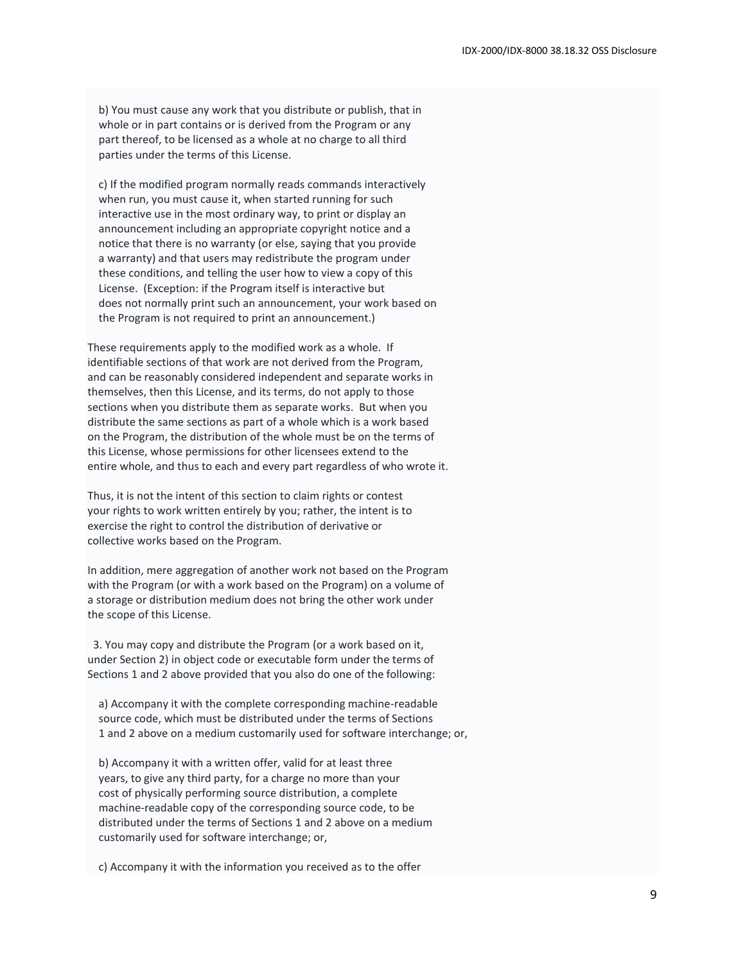b) You must cause any work that you distribute or publish, that in whole or in part contains or is derived from the Program or any part thereof, to be licensed as a whole at no charge to all third parties under the terms of this License.

 c) If the modified program normally reads commands interactively when run, you must cause it, when started running for such interactive use in the most ordinary way, to print or display an announcement including an appropriate copyright notice and a notice that there is no warranty (or else, saying that you provide a warranty) and that users may redistribute the program under these conditions, and telling the user how to view a copy of this License. (Exception: if the Program itself is interactive but does not normally print such an announcement, your work based on the Program is not required to print an announcement.)

These requirements apply to the modified work as a whole. If identifiable sections of that work are not derived from the Program, and can be reasonably considered independent and separate works in themselves, then this License, and its terms, do not apply to those sections when you distribute them as separate works. But when you distribute the same sections as part of a whole which is a work based on the Program, the distribution of the whole must be on the terms of this License, whose permissions for other licensees extend to the entire whole, and thus to each and every part regardless of who wrote it.

Thus, it is not the intent of this section to claim rights or contest your rights to work written entirely by you; rather, the intent is to exercise the right to control the distribution of derivative or collective works based on the Program.

In addition, mere aggregation of another work not based on the Program with the Program (or with a work based on the Program) on a volume of a storage or distribution medium does not bring the other work under the scope of this License.

 3. You may copy and distribute the Program (or a work based on it, under Section 2) in object code or executable form under the terms of Sections 1 and 2 above provided that you also do one of the following:

 a) Accompany it with the complete corresponding machine-readable source code, which must be distributed under the terms of Sections 1 and 2 above on a medium customarily used for software interchange; or,

 b) Accompany it with a written offer, valid for at least three years, to give any third party, for a charge no more than your cost of physically performing source distribution, a complete machine-readable copy of the corresponding source code, to be distributed under the terms of Sections 1 and 2 above on a medium customarily used for software interchange; or,

c) Accompany it with the information you received as to the offer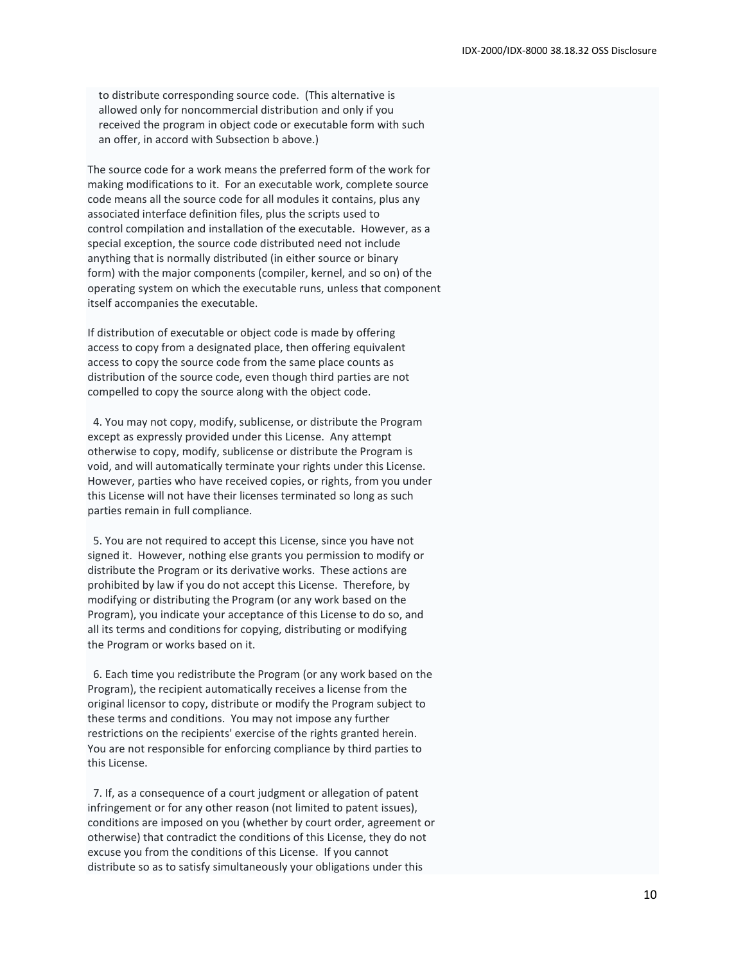to distribute corresponding source code. (This alternative is allowed only for noncommercial distribution and only if you received the program in object code or executable form with such an offer, in accord with Subsection b above.)

The source code for a work means the preferred form of the work for making modifications to it. For an executable work, complete source code means all the source code for all modules it contains, plus any associated interface definition files, plus the scripts used to control compilation and installation of the executable. However, as a special exception, the source code distributed need not include anything that is normally distributed (in either source or binary form) with the major components (compiler, kernel, and so on) of the operating system on which the executable runs, unless that component itself accompanies the executable.

If distribution of executable or object code is made by offering access to copy from a designated place, then offering equivalent access to copy the source code from the same place counts as distribution of the source code, even though third parties are not compelled to copy the source along with the object code.

 4. You may not copy, modify, sublicense, or distribute the Program except as expressly provided under this License. Any attempt otherwise to copy, modify, sublicense or distribute the Program is void, and will automatically terminate your rights under this License. However, parties who have received copies, or rights, from you under this License will not have their licenses terminated so long as such parties remain in full compliance.

 5. You are not required to accept this License, since you have not signed it. However, nothing else grants you permission to modify or distribute the Program or its derivative works. These actions are prohibited by law if you do not accept this License. Therefore, by modifying or distributing the Program (or any work based on the Program), you indicate your acceptance of this License to do so, and all its terms and conditions for copying, distributing or modifying the Program or works based on it.

 6. Each time you redistribute the Program (or any work based on the Program), the recipient automatically receives a license from the original licensor to copy, distribute or modify the Program subject to these terms and conditions. You may not impose any further restrictions on the recipients' exercise of the rights granted herein. You are not responsible for enforcing compliance by third parties to this License.

7. If, as a consequence of a court judgment or allegation of patent infringement or for any other reason (not limited to patent issues), conditions are imposed on you (whether by court order, agreement or otherwise) that contradict the conditions of this License, they do not excuse you from the conditions of this License. If you cannot distribute so as to satisfy simultaneously your obligations under this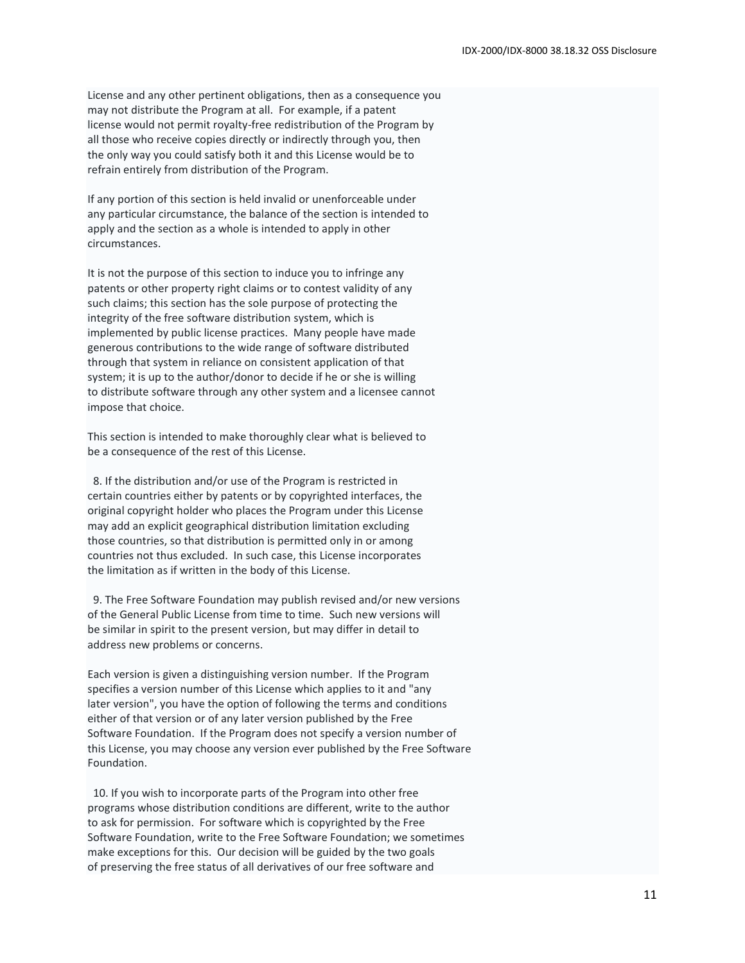License and any other pertinent obligations, then as a consequence you may not distribute the Program at all. For example, if a patent license would not permit royalty-free redistribution of the Program by all those who receive copies directly or indirectly through you, then the only way you could satisfy both it and this License would be to refrain entirely from distribution of the Program.

If any portion of this section is held invalid or unenforceable under any particular circumstance, the balance of the section is intended to apply and the section as a whole is intended to apply in other circumstances.

It is not the purpose of this section to induce you to infringe any patents or other property right claims or to contest validity of any such claims; this section has the sole purpose of protecting the integrity of the free software distribution system, which is implemented by public license practices. Many people have made generous contributions to the wide range of software distributed through that system in reliance on consistent application of that system; it is up to the author/donor to decide if he or she is willing to distribute software through any other system and a licensee cannot impose that choice.

This section is intended to make thoroughly clear what is believed to be a consequence of the rest of this License.

 8. If the distribution and/or use of the Program is restricted in certain countries either by patents or by copyrighted interfaces, the original copyright holder who places the Program under this License may add an explicit geographical distribution limitation excluding those countries, so that distribution is permitted only in or among countries not thus excluded. In such case, this License incorporates the limitation as if written in the body of this License.

 9. The Free Software Foundation may publish revised and/or new versions of the General Public License from time to time. Such new versions will be similar in spirit to the present version, but may differ in detail to address new problems or concerns.

Each version is given a distinguishing version number. If the Program specifies a version number of this License which applies to it and "any later version", you have the option of following the terms and conditions either of that version or of any later version published by the Free Software Foundation. If the Program does not specify a version number of this License, you may choose any version ever published by the Free Software Foundation.

 10. If you wish to incorporate parts of the Program into other free programs whose distribution conditions are different, write to the author to ask for permission. For software which is copyrighted by the Free Software Foundation, write to the Free Software Foundation; we sometimes make exceptions for this. Our decision will be guided by the two goals of preserving the free status of all derivatives of our free software and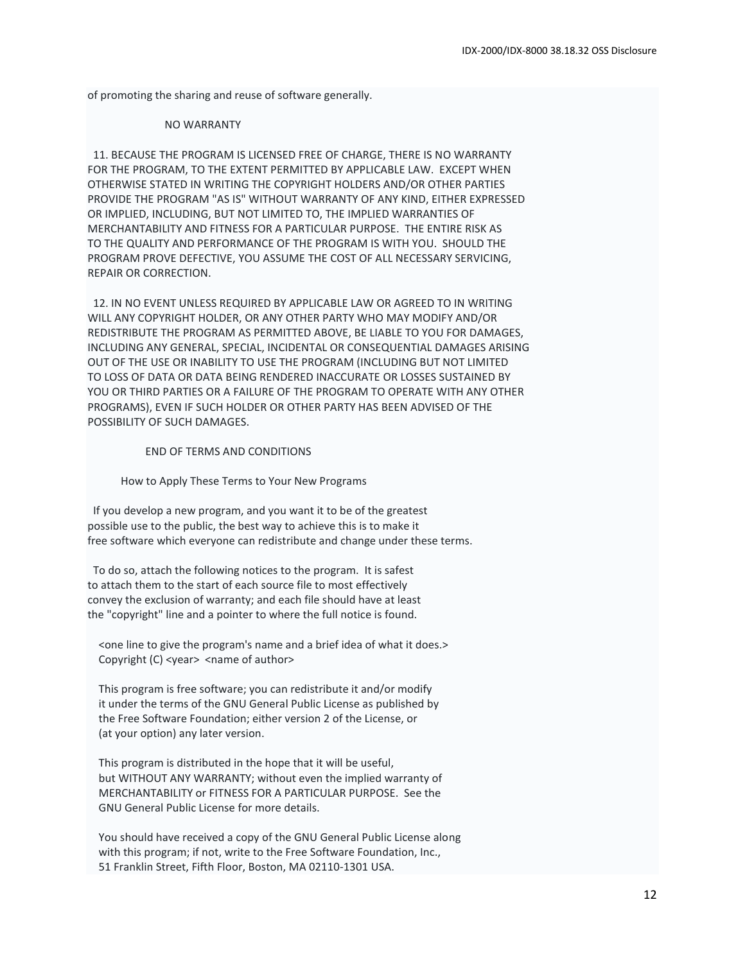of promoting the sharing and reuse of software generally.

#### NO WARRANTY

 11. BECAUSE THE PROGRAM IS LICENSED FREE OF CHARGE, THERE IS NO WARRANTY FOR THE PROGRAM, TO THE EXTENT PERMITTED BY APPLICABLE LAW. EXCEPT WHEN OTHERWISE STATED IN WRITING THE COPYRIGHT HOLDERS AND/OR OTHER PARTIES PROVIDE THE PROGRAM "AS IS" WITHOUT WARRANTY OF ANY KIND, EITHER EXPRESSED OR IMPLIED, INCLUDING, BUT NOT LIMITED TO, THE IMPLIED WARRANTIES OF MERCHANTABILITY AND FITNESS FOR A PARTICULAR PURPOSE. THE ENTIRE RISK AS TO THE QUALITY AND PERFORMANCE OF THE PROGRAM IS WITH YOU. SHOULD THE PROGRAM PROVE DEFECTIVE, YOU ASSUME THE COST OF ALL NECESSARY SERVICING, REPAIR OR CORRECTION.

 12. IN NO EVENT UNLESS REQUIRED BY APPLICABLE LAW OR AGREED TO IN WRITING WILL ANY COPYRIGHT HOLDER, OR ANY OTHER PARTY WHO MAY MODIFY AND/OR REDISTRIBUTE THE PROGRAM AS PERMITTED ABOVE, BE LIABLE TO YOU FOR DAMAGES, INCLUDING ANY GENERAL, SPECIAL, INCIDENTAL OR CONSEQUENTIAL DAMAGES ARISING OUT OF THE USE OR INABILITY TO USE THE PROGRAM (INCLUDING BUT NOT LIMITED TO LOSS OF DATA OR DATA BEING RENDERED INACCURATE OR LOSSES SUSTAINED BY YOU OR THIRD PARTIES OR A FAILURE OF THE PROGRAM TO OPERATE WITH ANY OTHER PROGRAMS), EVEN IF SUCH HOLDER OR OTHER PARTY HAS BEEN ADVISED OF THE POSSIBILITY OF SUCH DAMAGES.

END OF TERMS AND CONDITIONS

How to Apply These Terms to Your New Programs

 If you develop a new program, and you want it to be of the greatest possible use to the public, the best way to achieve this is to make it free software which everyone can redistribute and change under these terms.

 To do so, attach the following notices to the program. It is safest to attach them to the start of each source file to most effectively convey the exclusion of warranty; and each file should have at least the "copyright" line and a pointer to where the full notice is found.

 <one line to give the program's name and a brief idea of what it does.> Copyright (C) <year> <name of author>

 This program is free software; you can redistribute it and/or modify it under the terms of the GNU General Public License as published by the Free Software Foundation; either version 2 of the License, or (at your option) any later version.

 This program is distributed in the hope that it will be useful, but WITHOUT ANY WARRANTY; without even the implied warranty of MERCHANTABILITY or FITNESS FOR A PARTICULAR PURPOSE. See the GNU General Public License for more details.

 You should have received a copy of the GNU General Public License along with this program; if not, write to the Free Software Foundation, Inc., 51 Franklin Street, Fifth Floor, Boston, MA 02110-1301 USA.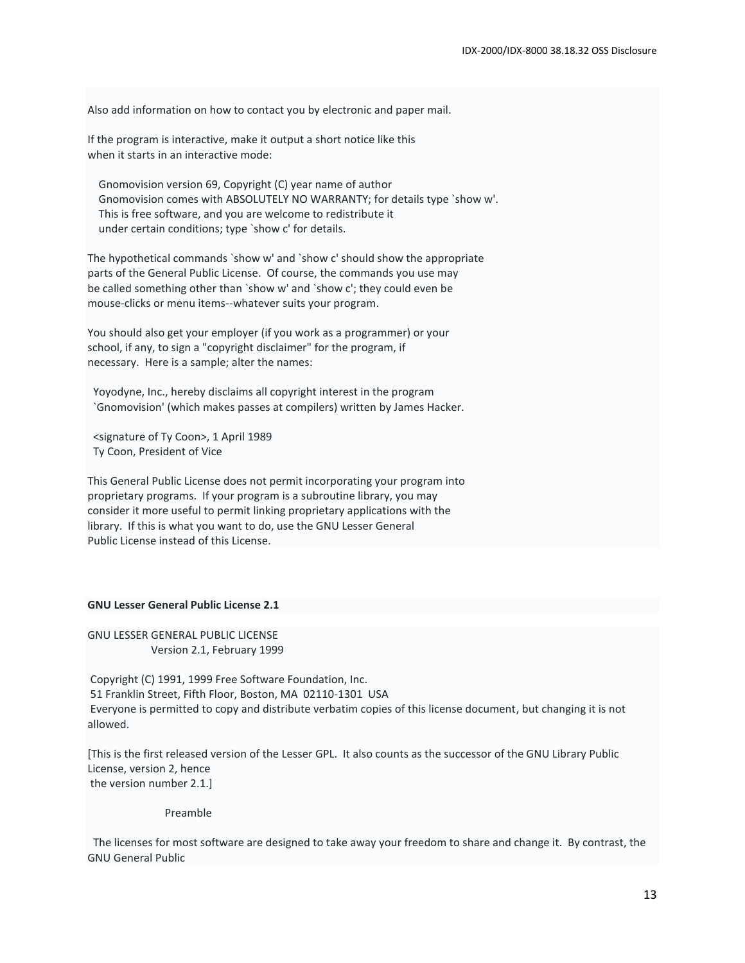Also add information on how to contact you by electronic and paper mail.

If the program is interactive, make it output a short notice like this when it starts in an interactive mode:

 Gnomovision version 69, Copyright (C) year name of author Gnomovision comes with ABSOLUTELY NO WARRANTY; for details type `show w'. This is free software, and you are welcome to redistribute it under certain conditions; type `show c' for details.

The hypothetical commands `show w' and `show c' should show the appropriate parts of the General Public License. Of course, the commands you use may be called something other than `show w' and `show c'; they could even be mouse-clicks or menu items--whatever suits your program.

You should also get your employer (if you work as a programmer) or your school, if any, to sign a "copyright disclaimer" for the program, if necessary. Here is a sample; alter the names:

 Yoyodyne, Inc., hereby disclaims all copyright interest in the program `Gnomovision' (which makes passes at compilers) written by James Hacker.

 <signature of Ty Coon>, 1 April 1989 Ty Coon, President of Vice

This General Public License does not permit incorporating your program into proprietary programs. If your program is a subroutine library, you may consider it more useful to permit linking proprietary applications with the library. If this is what you want to do, use the GNU Lesser General Public License instead of this License.

## **GNU Lesser General Public License 2.1**

GNU LESSER GENERAL PUBLIC LICENSE Version 2.1, February 1999

Copyright (C) 1991, 1999 Free Software Foundation, Inc. 51 Franklin Street, Fifth Floor, Boston, MA 02110-1301 USA Everyone is permitted to copy and distribute verbatim copies of this license document, but changing it is not allowed.

[This is the first released version of the Lesser GPL. It also counts as the successor of the GNU Library Public License, version 2, hence the version number 2.1.]

Preamble

 The licenses for most software are designed to take away your freedom to share and change it. By contrast, the GNU General Public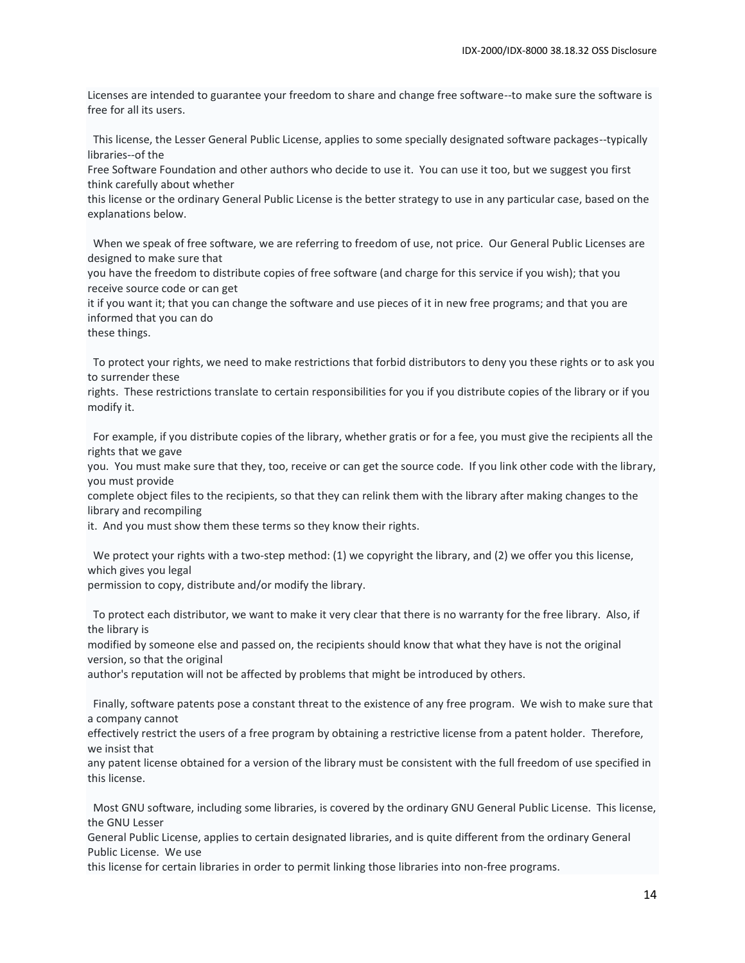Licenses are intended to guarantee your freedom to share and change free software--to make sure the software is free for all its users.

 This license, the Lesser General Public License, applies to some specially designated software packages--typically libraries--of the

Free Software Foundation and other authors who decide to use it. You can use it too, but we suggest you first think carefully about whether

this license or the ordinary General Public License is the better strategy to use in any particular case, based on the explanations below.

 When we speak of free software, we are referring to freedom of use, not price. Our General Public Licenses are designed to make sure that

you have the freedom to distribute copies of free software (and charge for this service if you wish); that you receive source code or can get

it if you want it; that you can change the software and use pieces of it in new free programs; and that you are informed that you can do

these things.

 To protect your rights, we need to make restrictions that forbid distributors to deny you these rights or to ask you to surrender these

rights. These restrictions translate to certain responsibilities for you if you distribute copies of the library or if you modify it.

 For example, if you distribute copies of the library, whether gratis or for a fee, you must give the recipients all the rights that we gave

you. You must make sure that they, too, receive or can get the source code. If you link other code with the library, you must provide

complete object files to the recipients, so that they can relink them with the library after making changes to the library and recompiling

it. And you must show them these terms so they know their rights.

We protect your rights with a two-step method: (1) we copyright the library, and (2) we offer you this license, which gives you legal

permission to copy, distribute and/or modify the library.

 To protect each distributor, we want to make it very clear that there is no warranty for the free library. Also, if the library is

modified by someone else and passed on, the recipients should know that what they have is not the original version, so that the original

author's reputation will not be affected by problems that might be introduced by others.

 Finally, software patents pose a constant threat to the existence of any free program. We wish to make sure that a company cannot

effectively restrict the users of a free program by obtaining a restrictive license from a patent holder. Therefore, we insist that

any patent license obtained for a version of the library must be consistent with the full freedom of use specified in this license.

 Most GNU software, including some libraries, is covered by the ordinary GNU General Public License. This license, the GNU Lesser

General Public License, applies to certain designated libraries, and is quite different from the ordinary General Public License. We use

this license for certain libraries in order to permit linking those libraries into non-free programs.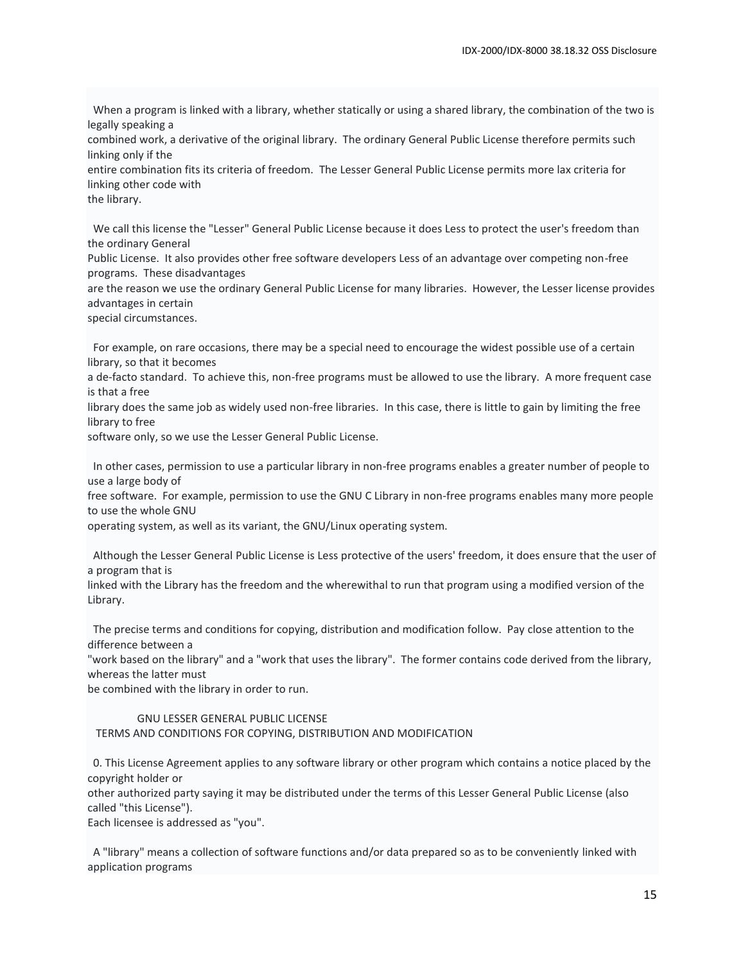When a program is linked with a library, whether statically or using a shared library, the combination of the two is legally speaking a

combined work, a derivative of the original library. The ordinary General Public License therefore permits such linking only if the

entire combination fits its criteria of freedom. The Lesser General Public License permits more lax criteria for linking other code with

the library.

 We call this license the "Lesser" General Public License because it does Less to protect the user's freedom than the ordinary General

Public License. It also provides other free software developers Less of an advantage over competing non-free programs. These disadvantages

are the reason we use the ordinary General Public License for many libraries. However, the Lesser license provides advantages in certain

special circumstances.

 For example, on rare occasions, there may be a special need to encourage the widest possible use of a certain library, so that it becomes

a de-facto standard. To achieve this, non-free programs must be allowed to use the library. A more frequent case is that a free

library does the same job as widely used non-free libraries. In this case, there is little to gain by limiting the free library to free

software only, so we use the Lesser General Public License.

 In other cases, permission to use a particular library in non-free programs enables a greater number of people to use a large body of

free software. For example, permission to use the GNU C Library in non-free programs enables many more people to use the whole GNU

operating system, as well as its variant, the GNU/Linux operating system.

 Although the Lesser General Public License is Less protective of the users' freedom, it does ensure that the user of a program that is

linked with the Library has the freedom and the wherewithal to run that program using a modified version of the Library.

 The precise terms and conditions for copying, distribution and modification follow. Pay close attention to the difference between a

"work based on the library" and a "work that uses the library". The former contains code derived from the library, whereas the latter must

be combined with the library in order to run.

#### GNU LESSER GENERAL PUBLIC LICENSE

TERMS AND CONDITIONS FOR COPYING, DISTRIBUTION AND MODIFICATION

 0. This License Agreement applies to any software library or other program which contains a notice placed by the copyright holder or

other authorized party saying it may be distributed under the terms of this Lesser General Public License (also called "this License").

Each licensee is addressed as "you".

 A "library" means a collection of software functions and/or data prepared so as to be conveniently linked with application programs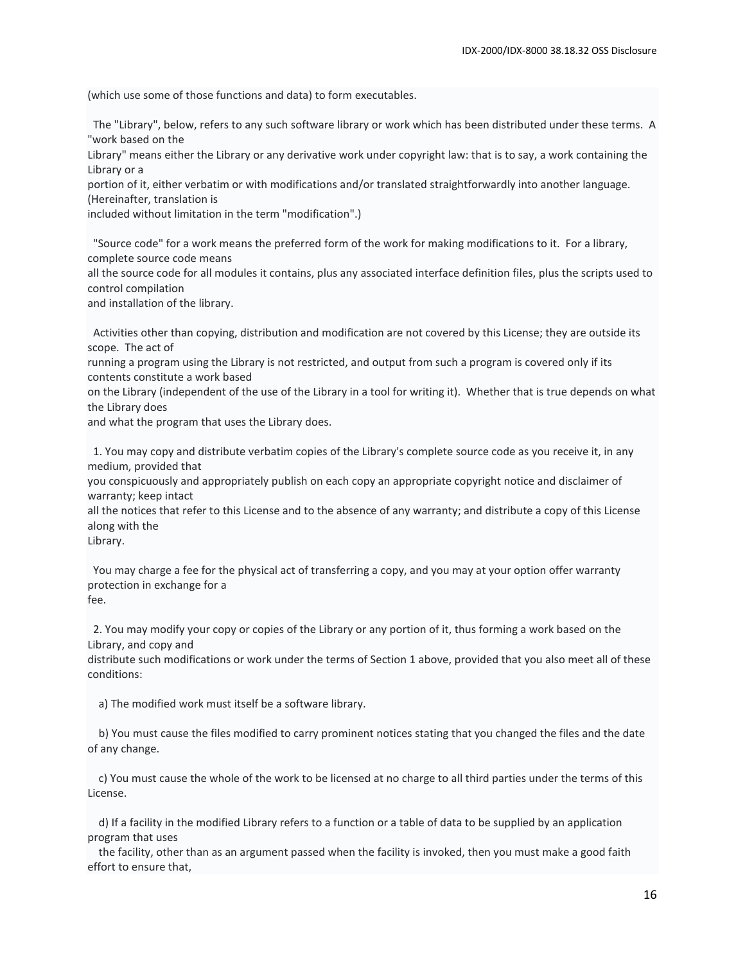(which use some of those functions and data) to form executables.

 The "Library", below, refers to any such software library or work which has been distributed under these terms. A "work based on the

Library" means either the Library or any derivative work under copyright law: that is to say, a work containing the Library or a

portion of it, either verbatim or with modifications and/or translated straightforwardly into another language. (Hereinafter, translation is

included without limitation in the term "modification".)

 "Source code" for a work means the preferred form of the work for making modifications to it. For a library, complete source code means

all the source code for all modules it contains, plus any associated interface definition files, plus the scripts used to control compilation

and installation of the library.

 Activities other than copying, distribution and modification are not covered by this License; they are outside its scope. The act of

running a program using the Library is not restricted, and output from such a program is covered only if its contents constitute a work based

on the Library (independent of the use of the Library in a tool for writing it). Whether that is true depends on what the Library does

and what the program that uses the Library does.

 1. You may copy and distribute verbatim copies of the Library's complete source code as you receive it, in any medium, provided that

you conspicuously and appropriately publish on each copy an appropriate copyright notice and disclaimer of warranty; keep intact

all the notices that refer to this License and to the absence of any warranty; and distribute a copy of this License along with the

Library.

 You may charge a fee for the physical act of transferring a copy, and you may at your option offer warranty protection in exchange for a fee.

 2. You may modify your copy or copies of the Library or any portion of it, thus forming a work based on the Library, and copy and

distribute such modifications or work under the terms of Section 1 above, provided that you also meet all of these conditions:

a) The modified work must itself be a software library.

 b) You must cause the files modified to carry prominent notices stating that you changed the files and the date of any change.

 c) You must cause the whole of the work to be licensed at no charge to all third parties under the terms of this License.

 d) If a facility in the modified Library refers to a function or a table of data to be supplied by an application program that uses

 the facility, other than as an argument passed when the facility is invoked, then you must make a good faith effort to ensure that,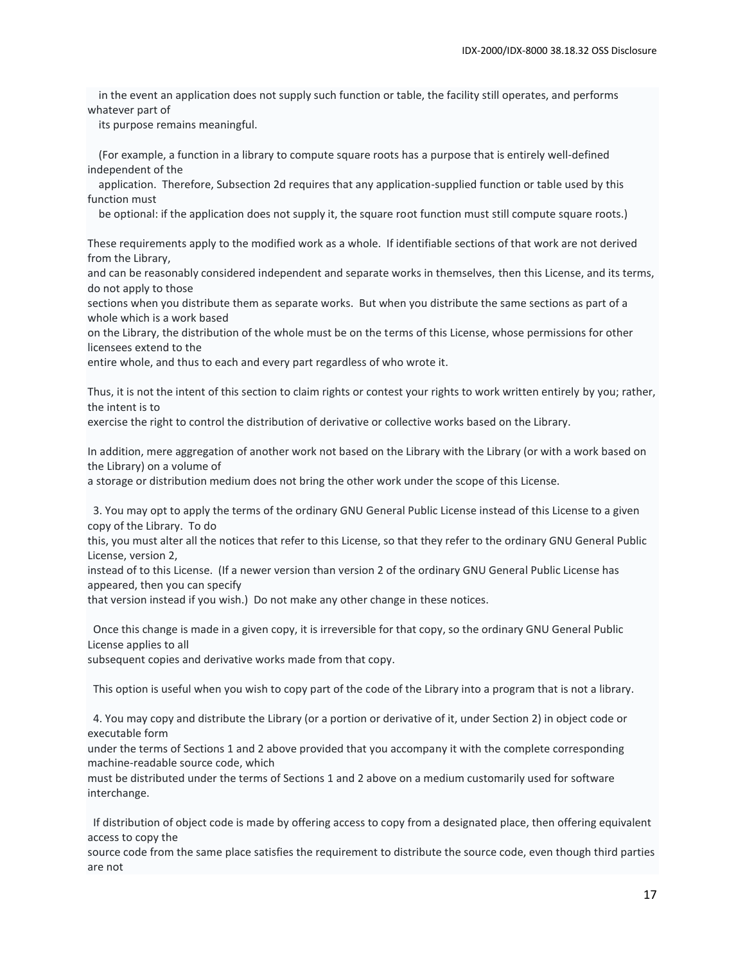in the event an application does not supply such function or table, the facility still operates, and performs whatever part of

its purpose remains meaningful.

 (For example, a function in a library to compute square roots has a purpose that is entirely well-defined independent of the

 application. Therefore, Subsection 2d requires that any application-supplied function or table used by this function must

be optional: if the application does not supply it, the square root function must still compute square roots.)

These requirements apply to the modified work as a whole. If identifiable sections of that work are not derived from the Library,

and can be reasonably considered independent and separate works in themselves, then this License, and its terms, do not apply to those

sections when you distribute them as separate works. But when you distribute the same sections as part of a whole which is a work based

on the Library, the distribution of the whole must be on the terms of this License, whose permissions for other licensees extend to the

entire whole, and thus to each and every part regardless of who wrote it.

Thus, it is not the intent of this section to claim rights or contest your rights to work written entirely by you; rather, the intent is to

exercise the right to control the distribution of derivative or collective works based on the Library.

In addition, mere aggregation of another work not based on the Library with the Library (or with a work based on the Library) on a volume of

a storage or distribution medium does not bring the other work under the scope of this License.

 3. You may opt to apply the terms of the ordinary GNU General Public License instead of this License to a given copy of the Library. To do

this, you must alter all the notices that refer to this License, so that they refer to the ordinary GNU General Public License, version 2,

instead of to this License. (If a newer version than version 2 of the ordinary GNU General Public License has appeared, then you can specify

that version instead if you wish.) Do not make any other change in these notices.

 Once this change is made in a given copy, it is irreversible for that copy, so the ordinary GNU General Public License applies to all

subsequent copies and derivative works made from that copy.

This option is useful when you wish to copy part of the code of the Library into a program that is not a library.

 4. You may copy and distribute the Library (or a portion or derivative of it, under Section 2) in object code or executable form

under the terms of Sections 1 and 2 above provided that you accompany it with the complete corresponding machine-readable source code, which

must be distributed under the terms of Sections 1 and 2 above on a medium customarily used for software interchange.

 If distribution of object code is made by offering access to copy from a designated place, then offering equivalent access to copy the

source code from the same place satisfies the requirement to distribute the source code, even though third parties are not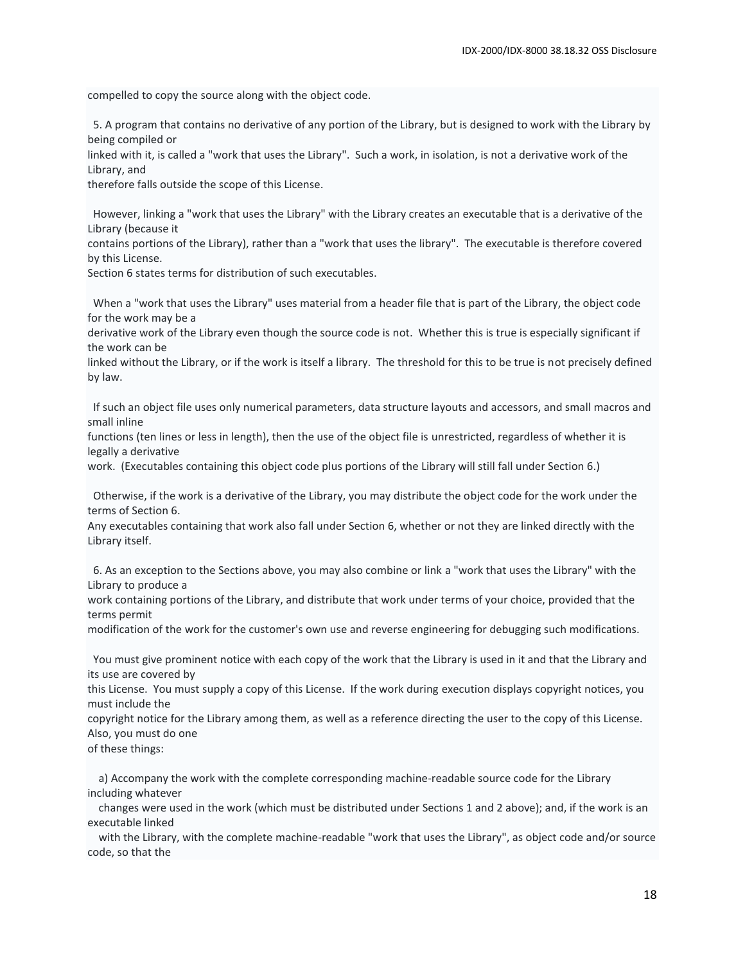compelled to copy the source along with the object code.

 5. A program that contains no derivative of any portion of the Library, but is designed to work with the Library by being compiled or

linked with it, is called a "work that uses the Library". Such a work, in isolation, is not a derivative work of the Library, and

therefore falls outside the scope of this License.

 However, linking a "work that uses the Library" with the Library creates an executable that is a derivative of the Library (because it

contains portions of the Library), rather than a "work that uses the library". The executable is therefore covered by this License.

Section 6 states terms for distribution of such executables.

 When a "work that uses the Library" uses material from a header file that is part of the Library, the object code for the work may be a

derivative work of the Library even though the source code is not. Whether this is true is especially significant if the work can be

linked without the Library, or if the work is itself a library. The threshold for this to be true is not precisely defined by law.

 If such an object file uses only numerical parameters, data structure layouts and accessors, and small macros and small inline

functions (ten lines or less in length), then the use of the object file is unrestricted, regardless of whether it is legally a derivative

work. (Executables containing this object code plus portions of the Library will still fall under Section 6.)

 Otherwise, if the work is a derivative of the Library, you may distribute the object code for the work under the terms of Section 6.

Any executables containing that work also fall under Section 6, whether or not they are linked directly with the Library itself.

 6. As an exception to the Sections above, you may also combine or link a "work that uses the Library" with the Library to produce a

work containing portions of the Library, and distribute that work under terms of your choice, provided that the terms permit

modification of the work for the customer's own use and reverse engineering for debugging such modifications.

 You must give prominent notice with each copy of the work that the Library is used in it and that the Library and its use are covered by

this License. You must supply a copy of this License. If the work during execution displays copyright notices, you must include the

copyright notice for the Library among them, as well as a reference directing the user to the copy of this License. Also, you must do one

of these things:

 a) Accompany the work with the complete corresponding machine-readable source code for the Library including whatever

 changes were used in the work (which must be distributed under Sections 1 and 2 above); and, if the work is an executable linked

 with the Library, with the complete machine-readable "work that uses the Library", as object code and/or source code, so that the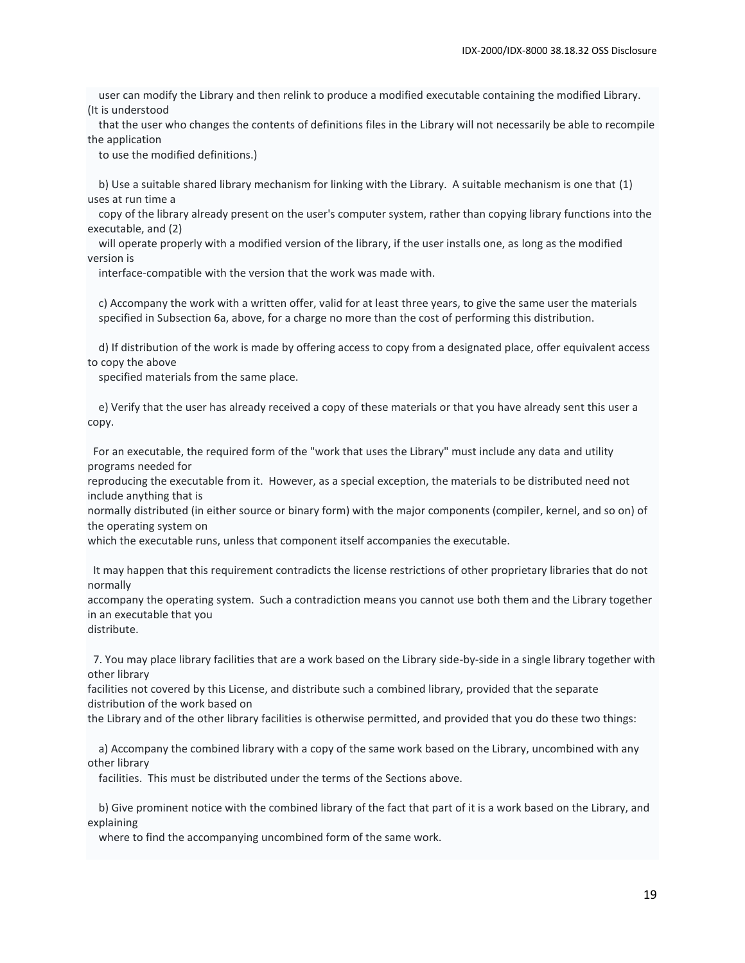user can modify the Library and then relink to produce a modified executable containing the modified Library. (It is understood

 that the user who changes the contents of definitions files in the Library will not necessarily be able to recompile the application

to use the modified definitions.)

 b) Use a suitable shared library mechanism for linking with the Library. A suitable mechanism is one that (1) uses at run time a

 copy of the library already present on the user's computer system, rather than copying library functions into the executable, and (2)

 will operate properly with a modified version of the library, if the user installs one, as long as the modified version is

interface-compatible with the version that the work was made with.

 c) Accompany the work with a written offer, valid for at least three years, to give the same user the materials specified in Subsection 6a, above, for a charge no more than the cost of performing this distribution.

 d) If distribution of the work is made by offering access to copy from a designated place, offer equivalent access to copy the above

specified materials from the same place.

 e) Verify that the user has already received a copy of these materials or that you have already sent this user a copy.

 For an executable, the required form of the "work that uses the Library" must include any data and utility programs needed for

reproducing the executable from it. However, as a special exception, the materials to be distributed need not include anything that is

normally distributed (in either source or binary form) with the major components (compiler, kernel, and so on) of the operating system on

which the executable runs, unless that component itself accompanies the executable.

 It may happen that this requirement contradicts the license restrictions of other proprietary libraries that do not normally

accompany the operating system. Such a contradiction means you cannot use both them and the Library together in an executable that you

distribute.

 7. You may place library facilities that are a work based on the Library side-by-side in a single library together with other library

facilities not covered by this License, and distribute such a combined library, provided that the separate distribution of the work based on

the Library and of the other library facilities is otherwise permitted, and provided that you do these two things:

 a) Accompany the combined library with a copy of the same work based on the Library, uncombined with any other library

facilities. This must be distributed under the terms of the Sections above.

 b) Give prominent notice with the combined library of the fact that part of it is a work based on the Library, and explaining

where to find the accompanying uncombined form of the same work.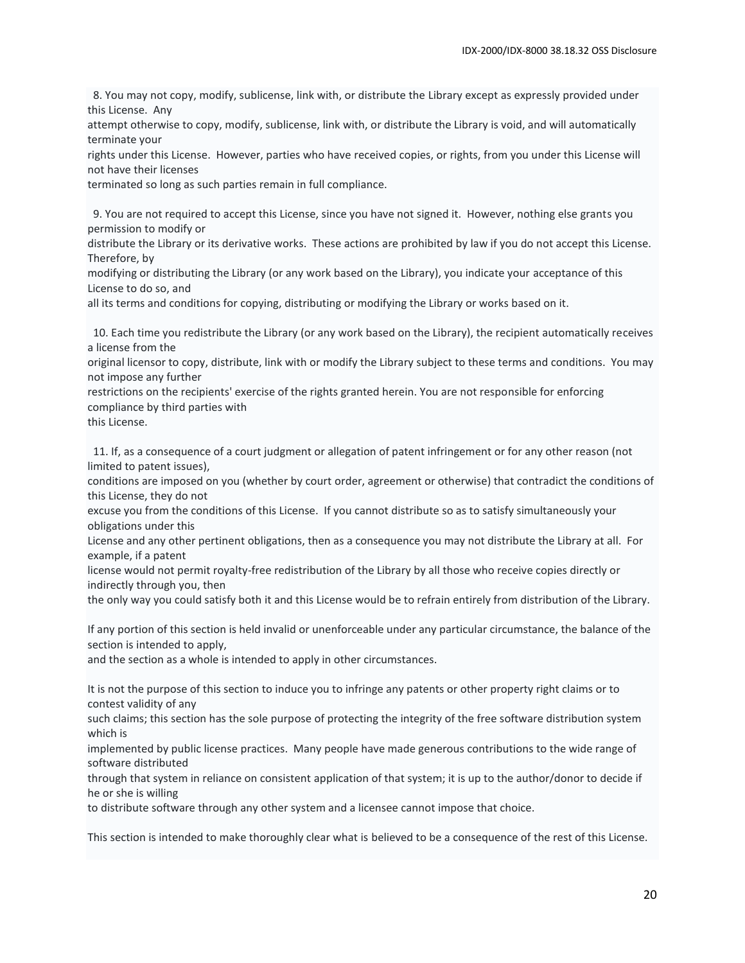8. You may not copy, modify, sublicense, link with, or distribute the Library except as expressly provided under this License. Any

attempt otherwise to copy, modify, sublicense, link with, or distribute the Library is void, and will automatically terminate your

rights under this License. However, parties who have received copies, or rights, from you under this License will not have their licenses

terminated so long as such parties remain in full compliance.

 9. You are not required to accept this License, since you have not signed it. However, nothing else grants you permission to modify or

distribute the Library or its derivative works. These actions are prohibited by law if you do not accept this License. Therefore, by

modifying or distributing the Library (or any work based on the Library), you indicate your acceptance of this License to do so, and

all its terms and conditions for copying, distributing or modifying the Library or works based on it.

 10. Each time you redistribute the Library (or any work based on the Library), the recipient automatically receives a license from the

original licensor to copy, distribute, link with or modify the Library subject to these terms and conditions. You may not impose any further

restrictions on the recipients' exercise of the rights granted herein. You are not responsible for enforcing compliance by third parties with

this License.

 11. If, as a consequence of a court judgment or allegation of patent infringement or for any other reason (not limited to patent issues),

conditions are imposed on you (whether by court order, agreement or otherwise) that contradict the conditions of this License, they do not

excuse you from the conditions of this License. If you cannot distribute so as to satisfy simultaneously your obligations under this

License and any other pertinent obligations, then as a consequence you may not distribute the Library at all. For example, if a patent

license would not permit royalty-free redistribution of the Library by all those who receive copies directly or indirectly through you, then

the only way you could satisfy both it and this License would be to refrain entirely from distribution of the Library.

If any portion of this section is held invalid or unenforceable under any particular circumstance, the balance of the section is intended to apply,

and the section as a whole is intended to apply in other circumstances.

It is not the purpose of this section to induce you to infringe any patents or other property right claims or to contest validity of any

such claims; this section has the sole purpose of protecting the integrity of the free software distribution system which is

implemented by public license practices. Many people have made generous contributions to the wide range of software distributed

through that system in reliance on consistent application of that system; it is up to the author/donor to decide if he or she is willing

to distribute software through any other system and a licensee cannot impose that choice.

This section is intended to make thoroughly clear what is believed to be a consequence of the rest of this License.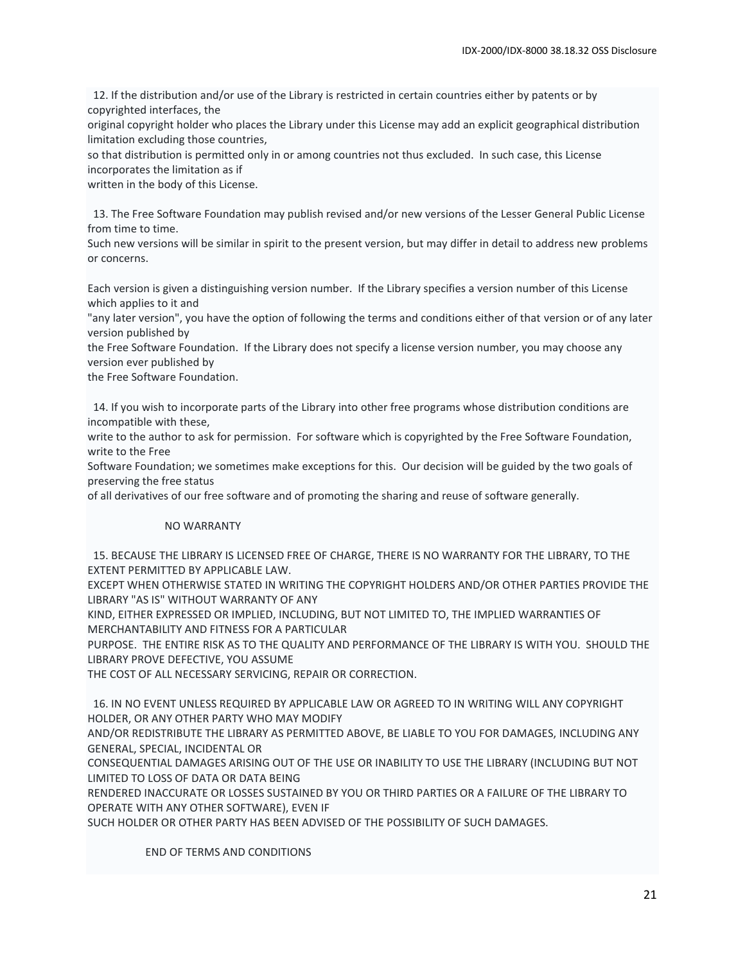12. If the distribution and/or use of the Library is restricted in certain countries either by patents or by copyrighted interfaces, the

original copyright holder who places the Library under this License may add an explicit geographical distribution limitation excluding those countries,

so that distribution is permitted only in or among countries not thus excluded. In such case, this License incorporates the limitation as if

written in the body of this License.

 13. The Free Software Foundation may publish revised and/or new versions of the Lesser General Public License from time to time.

Such new versions will be similar in spirit to the present version, but may differ in detail to address new problems or concerns.

Each version is given a distinguishing version number. If the Library specifies a version number of this License which applies to it and

"any later version", you have the option of following the terms and conditions either of that version or of any later version published by

the Free Software Foundation. If the Library does not specify a license version number, you may choose any version ever published by

the Free Software Foundation.

 14. If you wish to incorporate parts of the Library into other free programs whose distribution conditions are incompatible with these,

write to the author to ask for permission. For software which is copyrighted by the Free Software Foundation, write to the Free

Software Foundation; we sometimes make exceptions for this. Our decision will be guided by the two goals of preserving the free status

of all derivatives of our free software and of promoting the sharing and reuse of software generally.

#### NO WARRANTY

 15. BECAUSE THE LIBRARY IS LICENSED FREE OF CHARGE, THERE IS NO WARRANTY FOR THE LIBRARY, TO THE EXTENT PERMITTED BY APPLICABLE LAW.

EXCEPT WHEN OTHERWISE STATED IN WRITING THE COPYRIGHT HOLDERS AND/OR OTHER PARTIES PROVIDE THE LIBRARY "AS IS" WITHOUT WARRANTY OF ANY

KIND, EITHER EXPRESSED OR IMPLIED, INCLUDING, BUT NOT LIMITED TO, THE IMPLIED WARRANTIES OF MERCHANTABILITY AND FITNESS FOR A PARTICULAR

PURPOSE. THE ENTIRE RISK AS TO THE QUALITY AND PERFORMANCE OF THE LIBRARY IS WITH YOU. SHOULD THE LIBRARY PROVE DEFECTIVE, YOU ASSUME

THE COST OF ALL NECESSARY SERVICING, REPAIR OR CORRECTION.

 16. IN NO EVENT UNLESS REQUIRED BY APPLICABLE LAW OR AGREED TO IN WRITING WILL ANY COPYRIGHT HOLDER, OR ANY OTHER PARTY WHO MAY MODIFY

AND/OR REDISTRIBUTE THE LIBRARY AS PERMITTED ABOVE, BE LIABLE TO YOU FOR DAMAGES, INCLUDING ANY GENERAL, SPECIAL, INCIDENTAL OR

CONSEQUENTIAL DAMAGES ARISING OUT OF THE USE OR INABILITY TO USE THE LIBRARY (INCLUDING BUT NOT LIMITED TO LOSS OF DATA OR DATA BEING

RENDERED INACCURATE OR LOSSES SUSTAINED BY YOU OR THIRD PARTIES OR A FAILURE OF THE LIBRARY TO OPERATE WITH ANY OTHER SOFTWARE), EVEN IF

SUCH HOLDER OR OTHER PARTY HAS BEEN ADVISED OF THE POSSIBILITY OF SUCH DAMAGES.

END OF TERMS AND CONDITIONS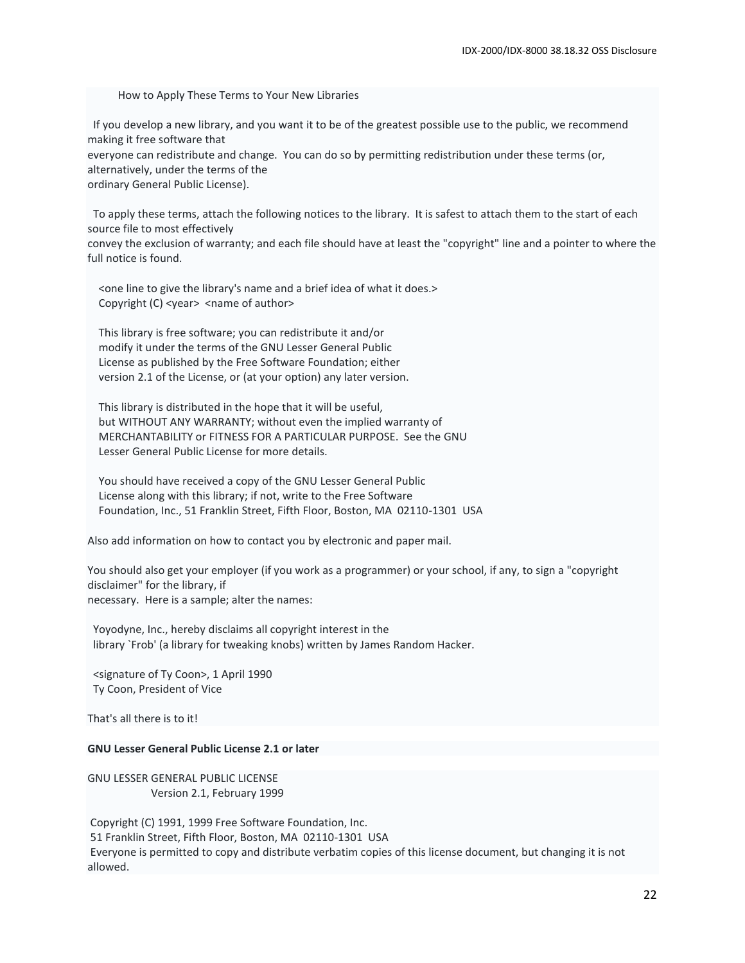How to Apply These Terms to Your New Libraries

 If you develop a new library, and you want it to be of the greatest possible use to the public, we recommend making it free software that everyone can redistribute and change. You can do so by permitting redistribution under these terms (or, alternatively, under the terms of the ordinary General Public License).

 To apply these terms, attach the following notices to the library. It is safest to attach them to the start of each source file to most effectively

convey the exclusion of warranty; and each file should have at least the "copyright" line and a pointer to where the full notice is found.

 <one line to give the library's name and a brief idea of what it does.> Copyright (C) <year> <name of author>

 This library is free software; you can redistribute it and/or modify it under the terms of the GNU Lesser General Public License as published by the Free Software Foundation; either version 2.1 of the License, or (at your option) any later version.

 This library is distributed in the hope that it will be useful, but WITHOUT ANY WARRANTY; without even the implied warranty of MERCHANTABILITY or FITNESS FOR A PARTICULAR PURPOSE. See the GNU Lesser General Public License for more details.

 You should have received a copy of the GNU Lesser General Public License along with this library; if not, write to the Free Software Foundation, Inc., 51 Franklin Street, Fifth Floor, Boston, MA 02110-1301 USA

Also add information on how to contact you by electronic and paper mail.

You should also get your employer (if you work as a programmer) or your school, if any, to sign a "copyright disclaimer" for the library, if necessary. Here is a sample; alter the names:

 Yoyodyne, Inc., hereby disclaims all copyright interest in the library `Frob' (a library for tweaking knobs) written by James Random Hacker.

 <signature of Ty Coon>, 1 April 1990 Ty Coon, President of Vice

That's all there is to it!

### **GNU Lesser General Public License 2.1 or later**

GNU LESSER GENERAL PUBLIC LICENSE Version 2.1, February 1999

Copyright (C) 1991, 1999 Free Software Foundation, Inc. 51 Franklin Street, Fifth Floor, Boston, MA 02110-1301 USA Everyone is permitted to copy and distribute verbatim copies of this license document, but changing it is not allowed.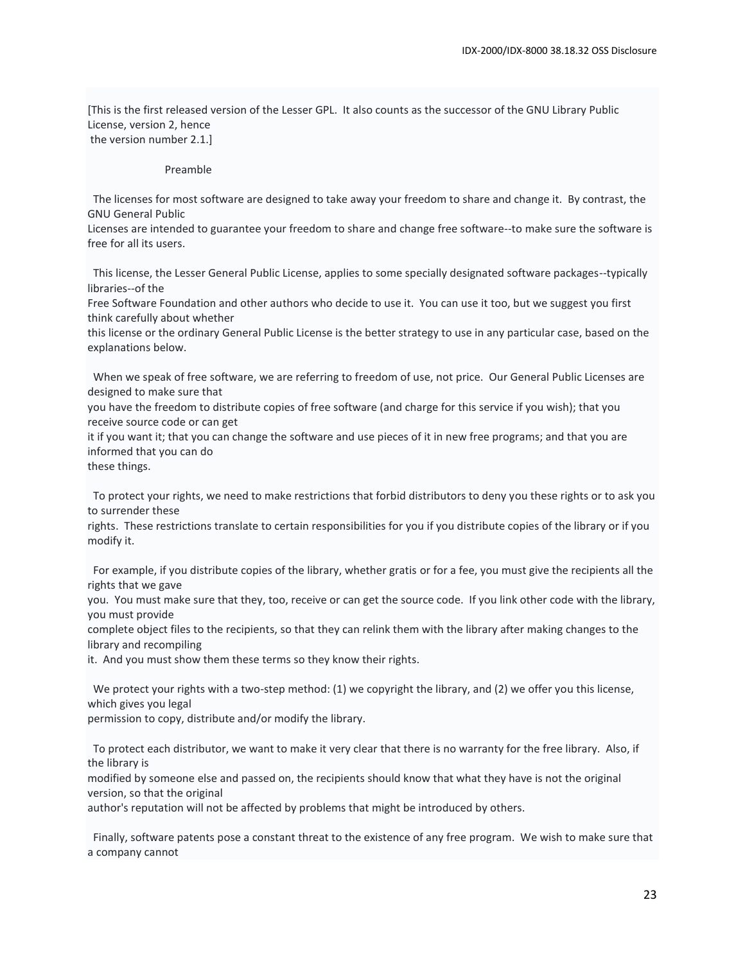[This is the first released version of the Lesser GPL. It also counts as the successor of the GNU Library Public License, version 2, hence the version number 2.1.]

#### Preamble

 The licenses for most software are designed to take away your freedom to share and change it. By contrast, the GNU General Public

Licenses are intended to guarantee your freedom to share and change free software--to make sure the software is free for all its users.

 This license, the Lesser General Public License, applies to some specially designated software packages--typically libraries--of the

Free Software Foundation and other authors who decide to use it. You can use it too, but we suggest you first think carefully about whether

this license or the ordinary General Public License is the better strategy to use in any particular case, based on the explanations below.

 When we speak of free software, we are referring to freedom of use, not price. Our General Public Licenses are designed to make sure that

you have the freedom to distribute copies of free software (and charge for this service if you wish); that you receive source code or can get

it if you want it; that you can change the software and use pieces of it in new free programs; and that you are informed that you can do

these things.

 To protect your rights, we need to make restrictions that forbid distributors to deny you these rights or to ask you to surrender these

rights. These restrictions translate to certain responsibilities for you if you distribute copies of the library or if you modify it.

 For example, if you distribute copies of the library, whether gratis or for a fee, you must give the recipients all the rights that we gave

you. You must make sure that they, too, receive or can get the source code. If you link other code with the library, you must provide

complete object files to the recipients, so that they can relink them with the library after making changes to the library and recompiling

it. And you must show them these terms so they know their rights.

 We protect your rights with a two-step method: (1) we copyright the library, and (2) we offer you this license, which gives you legal

permission to copy, distribute and/or modify the library.

 To protect each distributor, we want to make it very clear that there is no warranty for the free library. Also, if the library is

modified by someone else and passed on, the recipients should know that what they have is not the original version, so that the original

author's reputation will not be affected by problems that might be introduced by others.

 Finally, software patents pose a constant threat to the existence of any free program. We wish to make sure that a company cannot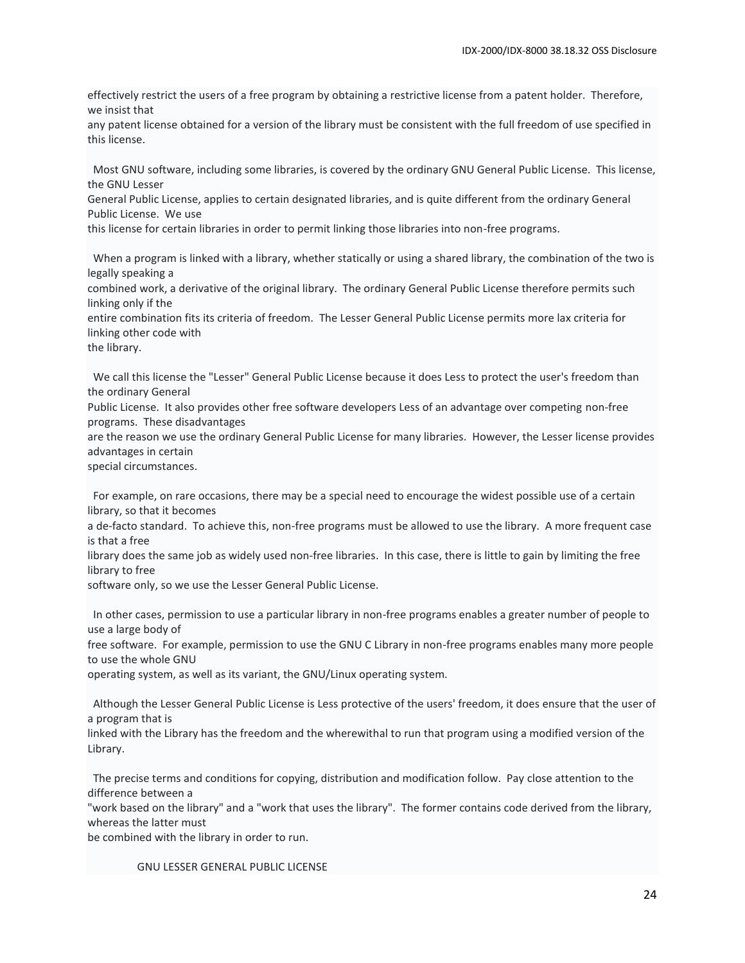effectively restrict the users of a free program by obtaining a restrictive license from a patent holder. Therefore, we insist that

any patent license obtained for a version of the library must be consistent with the full freedom of use specified in this license.

 Most GNU software, including some libraries, is covered by the ordinary GNU General Public License. This license, the GNU Lesser

General Public License, applies to certain designated libraries, and is quite different from the ordinary General Public License. We use

this license for certain libraries in order to permit linking those libraries into non-free programs.

 When a program is linked with a library, whether statically or using a shared library, the combination of the two is legally speaking a

combined work, a derivative of the original library. The ordinary General Public License therefore permits such linking only if the

entire combination fits its criteria of freedom. The Lesser General Public License permits more lax criteria for linking other code with

the library.

 We call this license the "Lesser" General Public License because it does Less to protect the user's freedom than the ordinary General

Public License. It also provides other free software developers Less of an advantage over competing non-free programs. These disadvantages

are the reason we use the ordinary General Public License for many libraries. However, the Lesser license provides advantages in certain

special circumstances.

 For example, on rare occasions, there may be a special need to encourage the widest possible use of a certain library, so that it becomes

a de-facto standard. To achieve this, non-free programs must be allowed to use the library. A more frequent case is that a free

library does the same job as widely used non-free libraries. In this case, there is little to gain by limiting the free library to free

software only, so we use the Lesser General Public License.

 In other cases, permission to use a particular library in non-free programs enables a greater number of people to use a large body of

free software. For example, permission to use the GNU C Library in non-free programs enables many more people to use the whole GNU

operating system, as well as its variant, the GNU/Linux operating system.

 Although the Lesser General Public License is Less protective of the users' freedom, it does ensure that the user of a program that is

linked with the Library has the freedom and the wherewithal to run that program using a modified version of the Library.

 The precise terms and conditions for copying, distribution and modification follow. Pay close attention to the difference between a

"work based on the library" and a "work that uses the library". The former contains code derived from the library, whereas the latter must

be combined with the library in order to run.

GNU LESSER GENERAL PUBLIC LICENSE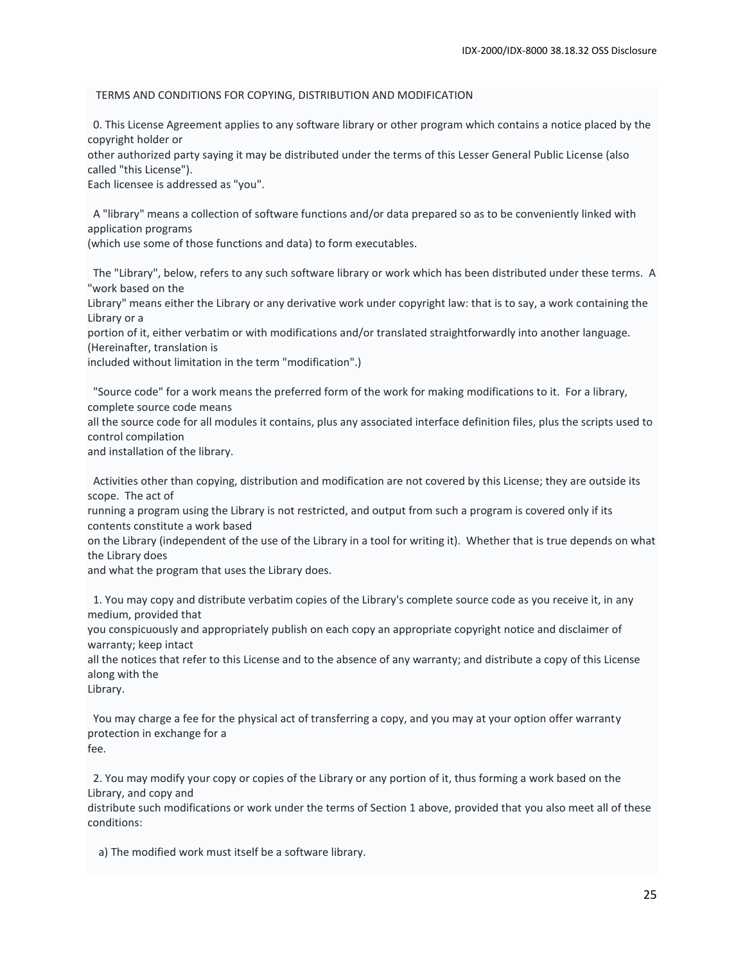#### TERMS AND CONDITIONS FOR COPYING, DISTRIBUTION AND MODIFICATION

 0. This License Agreement applies to any software library or other program which contains a notice placed by the copyright holder or

other authorized party saying it may be distributed under the terms of this Lesser General Public License (also called "this License").

Each licensee is addressed as "you".

 A "library" means a collection of software functions and/or data prepared so as to be conveniently linked with application programs

(which use some of those functions and data) to form executables.

 The "Library", below, refers to any such software library or work which has been distributed under these terms. A "work based on the

Library" means either the Library or any derivative work under copyright law: that is to say, a work containing the Library or a

portion of it, either verbatim or with modifications and/or translated straightforwardly into another language. (Hereinafter, translation is

included without limitation in the term "modification".)

 "Source code" for a work means the preferred form of the work for making modifications to it. For a library, complete source code means

all the source code for all modules it contains, plus any associated interface definition files, plus the scripts used to control compilation

and installation of the library.

 Activities other than copying, distribution and modification are not covered by this License; they are outside its scope. The act of

running a program using the Library is not restricted, and output from such a program is covered only if its contents constitute a work based

on the Library (independent of the use of the Library in a tool for writing it). Whether that is true depends on what the Library does

and what the program that uses the Library does.

 1. You may copy and distribute verbatim copies of the Library's complete source code as you receive it, in any medium, provided that

you conspicuously and appropriately publish on each copy an appropriate copyright notice and disclaimer of warranty; keep intact

all the notices that refer to this License and to the absence of any warranty; and distribute a copy of this License along with the

Library.

 You may charge a fee for the physical act of transferring a copy, and you may at your option offer warranty protection in exchange for a fee.

 2. You may modify your copy or copies of the Library or any portion of it, thus forming a work based on the Library, and copy and

distribute such modifications or work under the terms of Section 1 above, provided that you also meet all of these conditions:

a) The modified work must itself be a software library.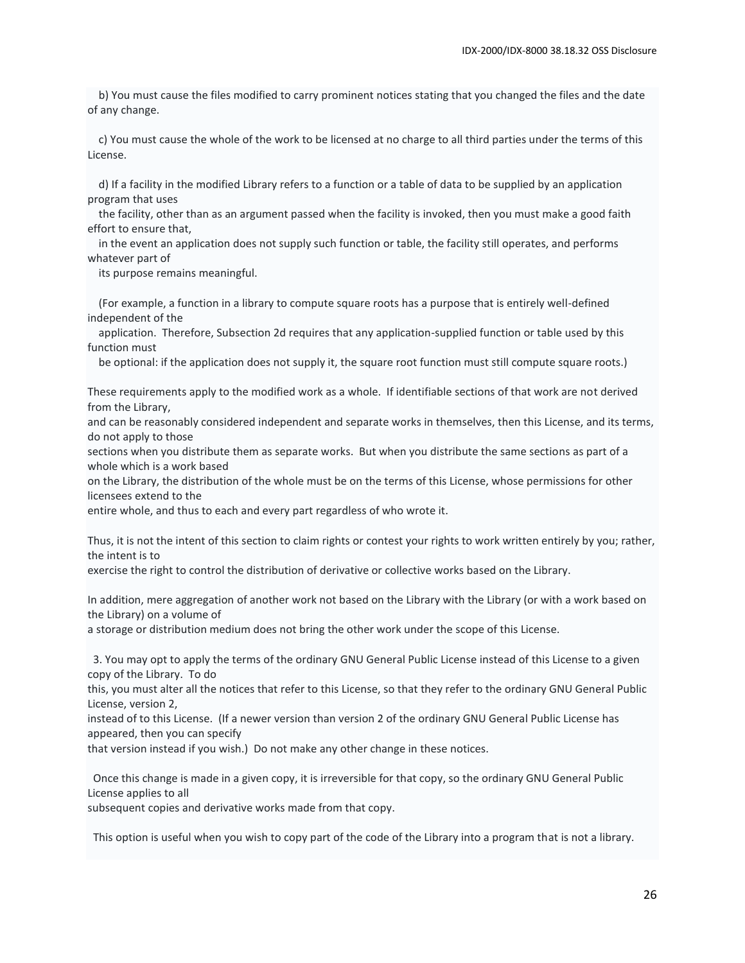b) You must cause the files modified to carry prominent notices stating that you changed the files and the date of any change.

 c) You must cause the whole of the work to be licensed at no charge to all third parties under the terms of this License.

 d) If a facility in the modified Library refers to a function or a table of data to be supplied by an application program that uses

 the facility, other than as an argument passed when the facility is invoked, then you must make a good faith effort to ensure that,

 in the event an application does not supply such function or table, the facility still operates, and performs whatever part of

its purpose remains meaningful.

 (For example, a function in a library to compute square roots has a purpose that is entirely well-defined independent of the

 application. Therefore, Subsection 2d requires that any application-supplied function or table used by this function must

be optional: if the application does not supply it, the square root function must still compute square roots.)

These requirements apply to the modified work as a whole. If identifiable sections of that work are not derived from the Library,

and can be reasonably considered independent and separate works in themselves, then this License, and its terms, do not apply to those

sections when you distribute them as separate works. But when you distribute the same sections as part of a whole which is a work based

on the Library, the distribution of the whole must be on the terms of this License, whose permissions for other licensees extend to the

entire whole, and thus to each and every part regardless of who wrote it.

Thus, it is not the intent of this section to claim rights or contest your rights to work written entirely by you; rather, the intent is to

exercise the right to control the distribution of derivative or collective works based on the Library.

In addition, mere aggregation of another work not based on the Library with the Library (or with a work based on the Library) on a volume of

a storage or distribution medium does not bring the other work under the scope of this License.

 3. You may opt to apply the terms of the ordinary GNU General Public License instead of this License to a given copy of the Library. To do

this, you must alter all the notices that refer to this License, so that they refer to the ordinary GNU General Public License, version 2,

instead of to this License. (If a newer version than version 2 of the ordinary GNU General Public License has appeared, then you can specify

that version instead if you wish.) Do not make any other change in these notices.

 Once this change is made in a given copy, it is irreversible for that copy, so the ordinary GNU General Public License applies to all

subsequent copies and derivative works made from that copy.

This option is useful when you wish to copy part of the code of the Library into a program that is not a library.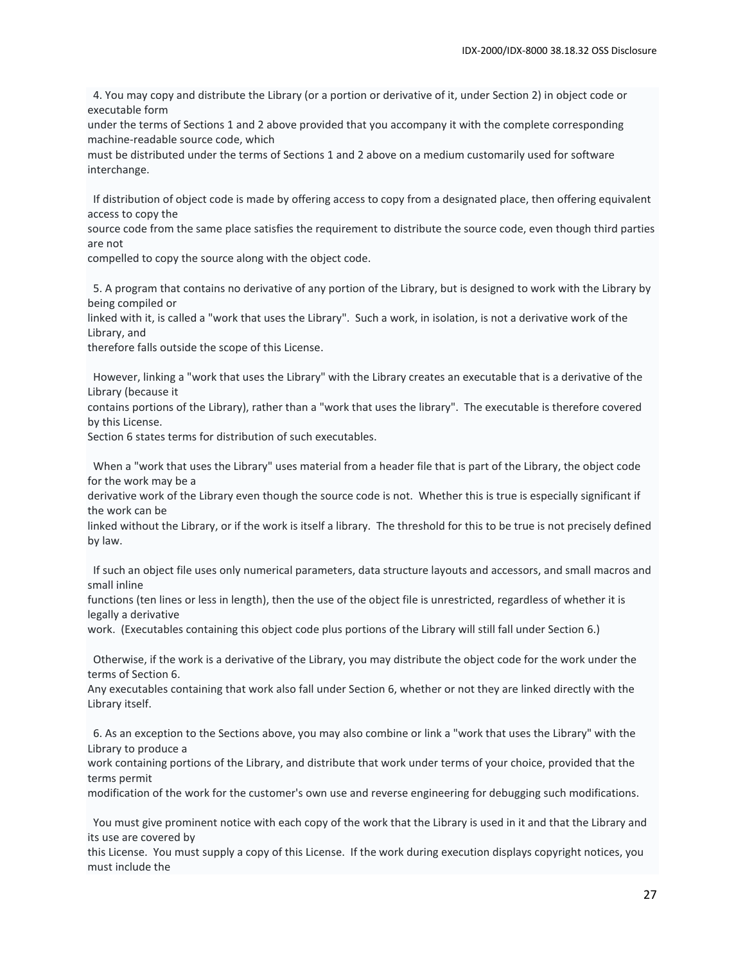4. You may copy and distribute the Library (or a portion or derivative of it, under Section 2) in object code or executable form

under the terms of Sections 1 and 2 above provided that you accompany it with the complete corresponding machine-readable source code, which

must be distributed under the terms of Sections 1 and 2 above on a medium customarily used for software interchange.

 If distribution of object code is made by offering access to copy from a designated place, then offering equivalent access to copy the

source code from the same place satisfies the requirement to distribute the source code, even though third parties are not

compelled to copy the source along with the object code.

 5. A program that contains no derivative of any portion of the Library, but is designed to work with the Library by being compiled or

linked with it, is called a "work that uses the Library". Such a work, in isolation, is not a derivative work of the Library, and

therefore falls outside the scope of this License.

 However, linking a "work that uses the Library" with the Library creates an executable that is a derivative of the Library (because it

contains portions of the Library), rather than a "work that uses the library". The executable is therefore covered by this License.

Section 6 states terms for distribution of such executables.

 When a "work that uses the Library" uses material from a header file that is part of the Library, the object code for the work may be a

derivative work of the Library even though the source code is not. Whether this is true is especially significant if the work can be

linked without the Library, or if the work is itself a library. The threshold for this to be true is not precisely defined by law.

 If such an object file uses only numerical parameters, data structure layouts and accessors, and small macros and small inline

functions (ten lines or less in length), then the use of the object file is unrestricted, regardless of whether it is legally a derivative

work. (Executables containing this object code plus portions of the Library will still fall under Section 6.)

 Otherwise, if the work is a derivative of the Library, you may distribute the object code for the work under the terms of Section 6.

Any executables containing that work also fall under Section 6, whether or not they are linked directly with the Library itself.

 6. As an exception to the Sections above, you may also combine or link a "work that uses the Library" with the Library to produce a

work containing portions of the Library, and distribute that work under terms of your choice, provided that the terms permit

modification of the work for the customer's own use and reverse engineering for debugging such modifications.

 You must give prominent notice with each copy of the work that the Library is used in it and that the Library and its use are covered by

this License. You must supply a copy of this License. If the work during execution displays copyright notices, you must include the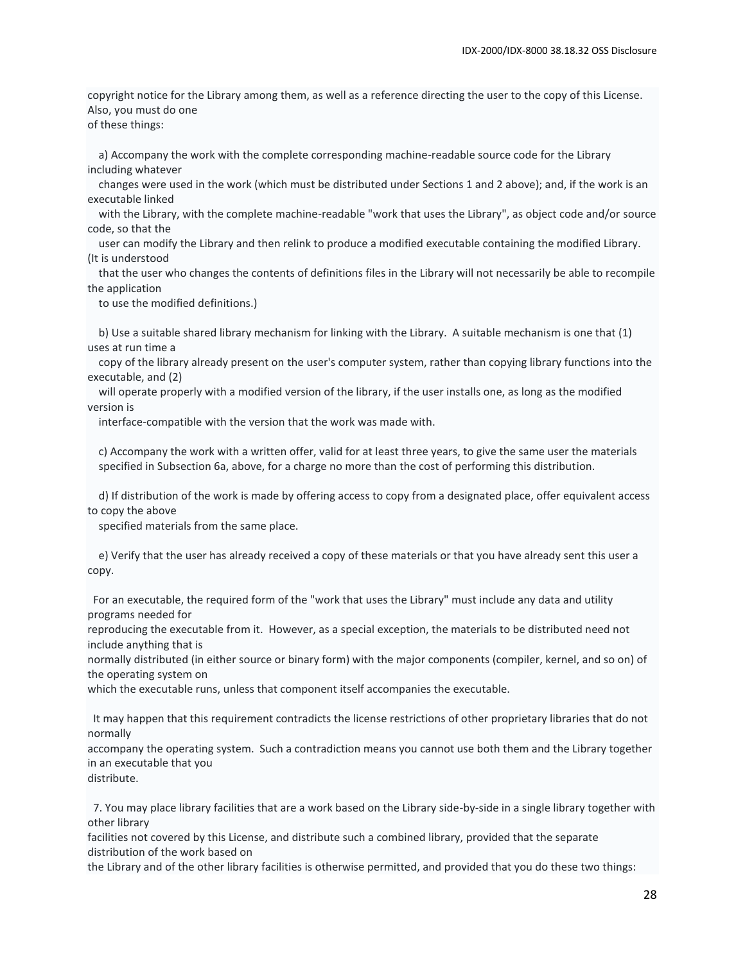copyright notice for the Library among them, as well as a reference directing the user to the copy of this License. Also, you must do one

of these things:

 a) Accompany the work with the complete corresponding machine-readable source code for the Library including whatever

 changes were used in the work (which must be distributed under Sections 1 and 2 above); and, if the work is an executable linked

 with the Library, with the complete machine-readable "work that uses the Library", as object code and/or source code, so that the

 user can modify the Library and then relink to produce a modified executable containing the modified Library. (It is understood

 that the user who changes the contents of definitions files in the Library will not necessarily be able to recompile the application

to use the modified definitions.)

 b) Use a suitable shared library mechanism for linking with the Library. A suitable mechanism is one that (1) uses at run time a

 copy of the library already present on the user's computer system, rather than copying library functions into the executable, and (2)

 will operate properly with a modified version of the library, if the user installs one, as long as the modified version is

interface-compatible with the version that the work was made with.

 c) Accompany the work with a written offer, valid for at least three years, to give the same user the materials specified in Subsection 6a, above, for a charge no more than the cost of performing this distribution.

 d) If distribution of the work is made by offering access to copy from a designated place, offer equivalent access to copy the above

specified materials from the same place.

 e) Verify that the user has already received a copy of these materials or that you have already sent this user a copy.

 For an executable, the required form of the "work that uses the Library" must include any data and utility programs needed for

reproducing the executable from it. However, as a special exception, the materials to be distributed need not include anything that is

normally distributed (in either source or binary form) with the major components (compiler, kernel, and so on) of the operating system on

which the executable runs, unless that component itself accompanies the executable.

 It may happen that this requirement contradicts the license restrictions of other proprietary libraries that do not normally

accompany the operating system. Such a contradiction means you cannot use both them and the Library together in an executable that you

distribute.

 7. You may place library facilities that are a work based on the Library side-by-side in a single library together with other library

facilities not covered by this License, and distribute such a combined library, provided that the separate distribution of the work based on

the Library and of the other library facilities is otherwise permitted, and provided that you do these two things: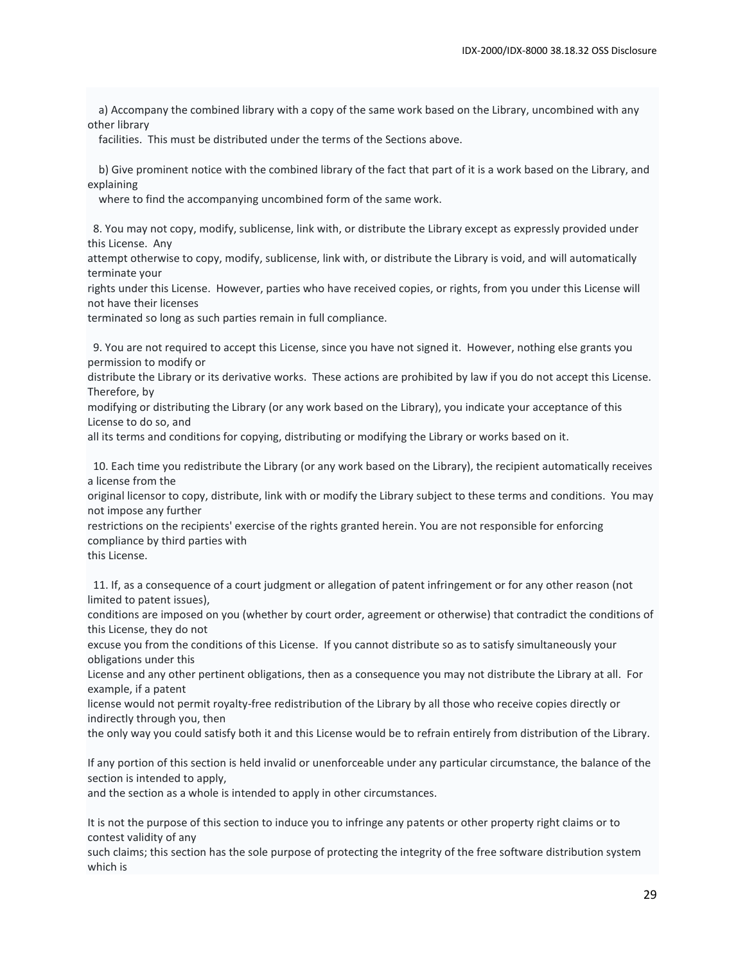a) Accompany the combined library with a copy of the same work based on the Library, uncombined with any other library

facilities. This must be distributed under the terms of the Sections above.

 b) Give prominent notice with the combined library of the fact that part of it is a work based on the Library, and explaining

where to find the accompanying uncombined form of the same work.

 8. You may not copy, modify, sublicense, link with, or distribute the Library except as expressly provided under this License. Any

attempt otherwise to copy, modify, sublicense, link with, or distribute the Library is void, and will automatically terminate your

rights under this License. However, parties who have received copies, or rights, from you under this License will not have their licenses

terminated so long as such parties remain in full compliance.

 9. You are not required to accept this License, since you have not signed it. However, nothing else grants you permission to modify or

distribute the Library or its derivative works. These actions are prohibited by law if you do not accept this License. Therefore, by

modifying or distributing the Library (or any work based on the Library), you indicate your acceptance of this License to do so, and

all its terms and conditions for copying, distributing or modifying the Library or works based on it.

 10. Each time you redistribute the Library (or any work based on the Library), the recipient automatically receives a license from the

original licensor to copy, distribute, link with or modify the Library subject to these terms and conditions. You may not impose any further

restrictions on the recipients' exercise of the rights granted herein. You are not responsible for enforcing compliance by third parties with

this License.

 11. If, as a consequence of a court judgment or allegation of patent infringement or for any other reason (not limited to patent issues),

conditions are imposed on you (whether by court order, agreement or otherwise) that contradict the conditions of this License, they do not

excuse you from the conditions of this License. If you cannot distribute so as to satisfy simultaneously your obligations under this

License and any other pertinent obligations, then as a consequence you may not distribute the Library at all. For example, if a patent

license would not permit royalty-free redistribution of the Library by all those who receive copies directly or indirectly through you, then

the only way you could satisfy both it and this License would be to refrain entirely from distribution of the Library.

If any portion of this section is held invalid or unenforceable under any particular circumstance, the balance of the section is intended to apply,

and the section as a whole is intended to apply in other circumstances.

It is not the purpose of this section to induce you to infringe any patents or other property right claims or to contest validity of any

such claims; this section has the sole purpose of protecting the integrity of the free software distribution system which is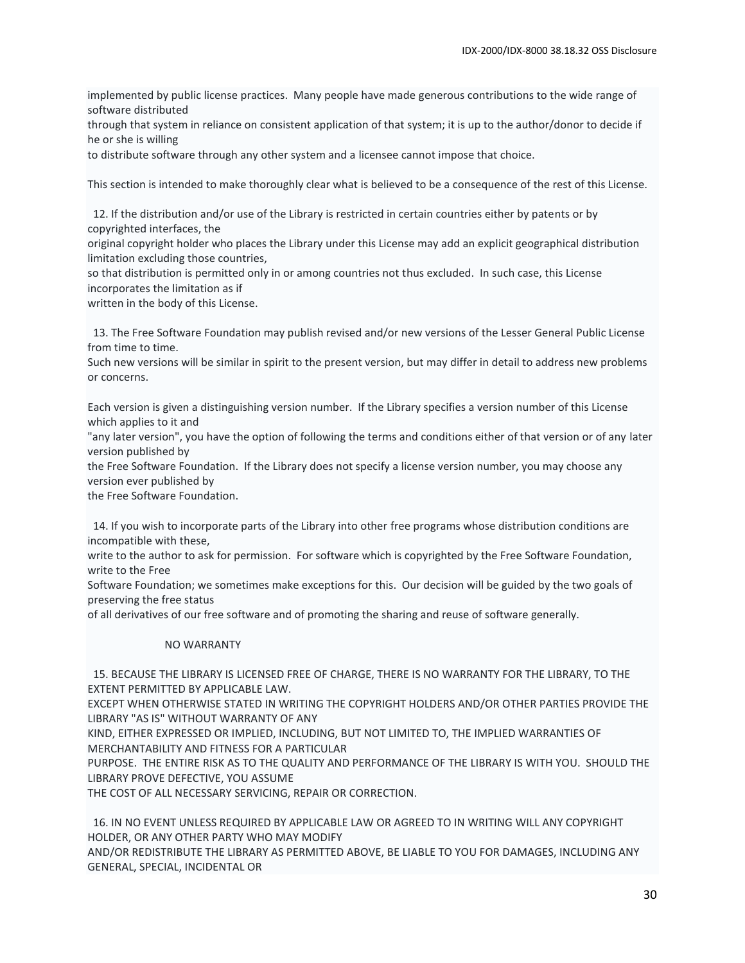implemented by public license practices. Many people have made generous contributions to the wide range of software distributed

through that system in reliance on consistent application of that system; it is up to the author/donor to decide if he or she is willing

to distribute software through any other system and a licensee cannot impose that choice.

This section is intended to make thoroughly clear what is believed to be a consequence of the rest of this License.

 12. If the distribution and/or use of the Library is restricted in certain countries either by patents or by copyrighted interfaces, the

original copyright holder who places the Library under this License may add an explicit geographical distribution limitation excluding those countries,

so that distribution is permitted only in or among countries not thus excluded. In such case, this License incorporates the limitation as if

written in the body of this License.

 13. The Free Software Foundation may publish revised and/or new versions of the Lesser General Public License from time to time.

Such new versions will be similar in spirit to the present version, but may differ in detail to address new problems or concerns.

Each version is given a distinguishing version number. If the Library specifies a version number of this License which applies to it and

"any later version", you have the option of following the terms and conditions either of that version or of any later version published by

the Free Software Foundation. If the Library does not specify a license version number, you may choose any version ever published by

the Free Software Foundation.

 14. If you wish to incorporate parts of the Library into other free programs whose distribution conditions are incompatible with these,

write to the author to ask for permission. For software which is copyrighted by the Free Software Foundation, write to the Free

Software Foundation; we sometimes make exceptions for this. Our decision will be guided by the two goals of preserving the free status

of all derivatives of our free software and of promoting the sharing and reuse of software generally.

#### NO WARRANTY

 15. BECAUSE THE LIBRARY IS LICENSED FREE OF CHARGE, THERE IS NO WARRANTY FOR THE LIBRARY, TO THE EXTENT PERMITTED BY APPLICABLE LAW.

EXCEPT WHEN OTHERWISE STATED IN WRITING THE COPYRIGHT HOLDERS AND/OR OTHER PARTIES PROVIDE THE LIBRARY "AS IS" WITHOUT WARRANTY OF ANY

KIND, EITHER EXPRESSED OR IMPLIED, INCLUDING, BUT NOT LIMITED TO, THE IMPLIED WARRANTIES OF MERCHANTABILITY AND FITNESS FOR A PARTICULAR

PURPOSE. THE ENTIRE RISK AS TO THE QUALITY AND PERFORMANCE OF THE LIBRARY IS WITH YOU. SHOULD THE LIBRARY PROVE DEFECTIVE, YOU ASSUME

THE COST OF ALL NECESSARY SERVICING, REPAIR OR CORRECTION.

 16. IN NO EVENT UNLESS REQUIRED BY APPLICABLE LAW OR AGREED TO IN WRITING WILL ANY COPYRIGHT HOLDER, OR ANY OTHER PARTY WHO MAY MODIFY

AND/OR REDISTRIBUTE THE LIBRARY AS PERMITTED ABOVE, BE LIABLE TO YOU FOR DAMAGES, INCLUDING ANY GENERAL, SPECIAL, INCIDENTAL OR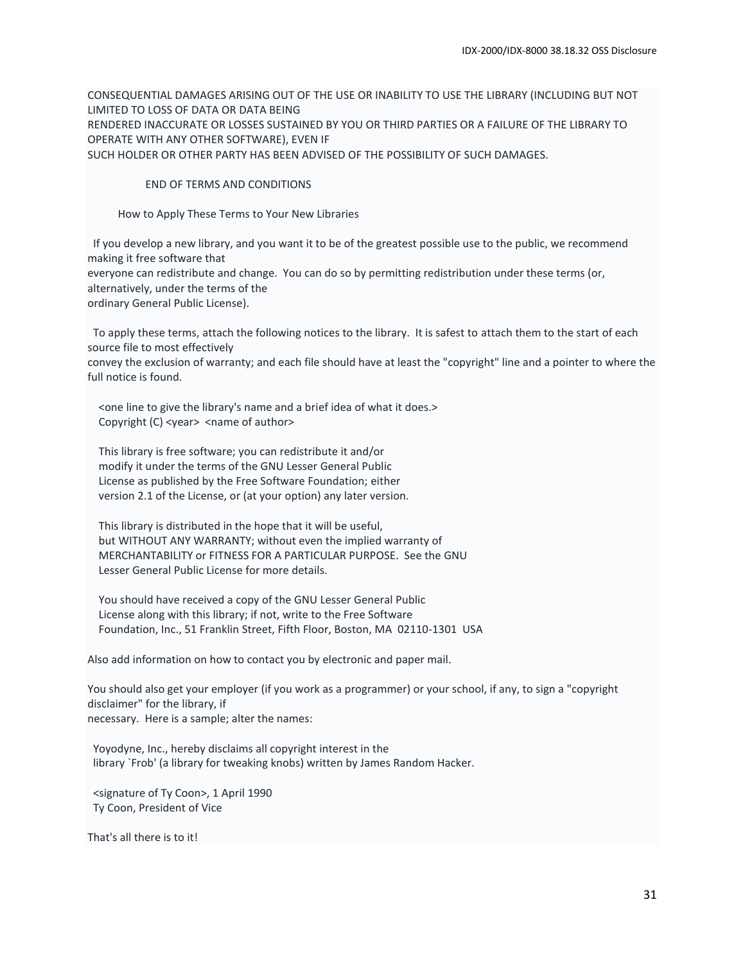CONSEQUENTIAL DAMAGES ARISING OUT OF THE USE OR INABILITY TO USE THE LIBRARY (INCLUDING BUT NOT LIMITED TO LOSS OF DATA OR DATA BEING RENDERED INACCURATE OR LOSSES SUSTAINED BY YOU OR THIRD PARTIES OR A FAILURE OF THE LIBRARY TO OPERATE WITH ANY OTHER SOFTWARE), EVEN IF SUCH HOLDER OR OTHER PARTY HAS BEEN ADVISED OF THE POSSIBILITY OF SUCH DAMAGES.

END OF TERMS AND CONDITIONS

How to Apply These Terms to Your New Libraries

 If you develop a new library, and you want it to be of the greatest possible use to the public, we recommend making it free software that everyone can redistribute and change. You can do so by permitting redistribution under these terms (or, alternatively, under the terms of the ordinary General Public License).

 To apply these terms, attach the following notices to the library. It is safest to attach them to the start of each source file to most effectively

convey the exclusion of warranty; and each file should have at least the "copyright" line and a pointer to where the full notice is found.

 <one line to give the library's name and a brief idea of what it does.> Copyright (C) <year> <name of author>

 This library is free software; you can redistribute it and/or modify it under the terms of the GNU Lesser General Public License as published by the Free Software Foundation; either version 2.1 of the License, or (at your option) any later version.

 This library is distributed in the hope that it will be useful, but WITHOUT ANY WARRANTY; without even the implied warranty of MERCHANTABILITY or FITNESS FOR A PARTICULAR PURPOSE. See the GNU Lesser General Public License for more details.

 You should have received a copy of the GNU Lesser General Public License along with this library; if not, write to the Free Software Foundation, Inc., 51 Franklin Street, Fifth Floor, Boston, MA 02110-1301 USA

Also add information on how to contact you by electronic and paper mail.

You should also get your employer (if you work as a programmer) or your school, if any, to sign a "copyright disclaimer" for the library, if necessary. Here is a sample; alter the names:

 Yoyodyne, Inc., hereby disclaims all copyright interest in the library `Frob' (a library for tweaking knobs) written by James Random Hacker.

 <signature of Ty Coon>, 1 April 1990 Ty Coon, President of Vice

That's all there is to it!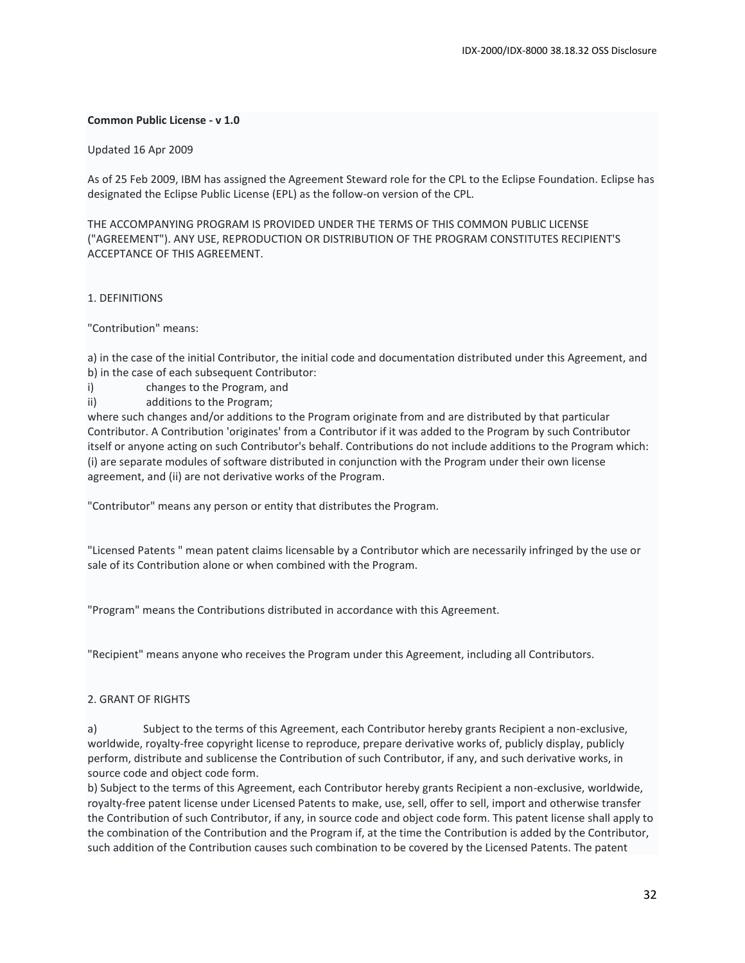#### **Common Public License - v 1.0**

#### Updated 16 Apr 2009

As of 25 Feb 2009, IBM has assigned the Agreement Steward role for the CPL to the Eclipse Foundation. Eclipse has designated the Eclipse Public License (EPL) as the follow-on version of the CPL.

THE ACCOMPANYING PROGRAM IS PROVIDED UNDER THE TERMS OF THIS COMMON PUBLIC LICENSE ("AGREEMENT"). ANY USE, REPRODUCTION OR DISTRIBUTION OF THE PROGRAM CONSTITUTES RECIPIENT'S ACCEPTANCE OF THIS AGREEMENT.

#### 1. DEFINITIONS

"Contribution" means:

a) in the case of the initial Contributor, the initial code and documentation distributed under this Agreement, and b) in the case of each subsequent Contributor:

- i) changes to the Program, and
- ii) additions to the Program;

where such changes and/or additions to the Program originate from and are distributed by that particular Contributor. A Contribution 'originates' from a Contributor if it was added to the Program by such Contributor itself or anyone acting on such Contributor's behalf. Contributions do not include additions to the Program which: (i) are separate modules of software distributed in conjunction with the Program under their own license agreement, and (ii) are not derivative works of the Program.

"Contributor" means any person or entity that distributes the Program.

"Licensed Patents " mean patent claims licensable by a Contributor which are necessarily infringed by the use or sale of its Contribution alone or when combined with the Program.

"Program" means the Contributions distributed in accordance with this Agreement.

"Recipient" means anyone who receives the Program under this Agreement, including all Contributors.

#### 2. GRANT OF RIGHTS

a) Subject to the terms of this Agreement, each Contributor hereby grants Recipient a non-exclusive, worldwide, royalty-free copyright license to reproduce, prepare derivative works of, publicly display, publicly perform, distribute and sublicense the Contribution of such Contributor, if any, and such derivative works, in source code and object code form.

b) Subject to the terms of this Agreement, each Contributor hereby grants Recipient a non-exclusive, worldwide, royalty-free patent license under Licensed Patents to make, use, sell, offer to sell, import and otherwise transfer the Contribution of such Contributor, if any, in source code and object code form. This patent license shall apply to the combination of the Contribution and the Program if, at the time the Contribution is added by the Contributor, such addition of the Contribution causes such combination to be covered by the Licensed Patents. The patent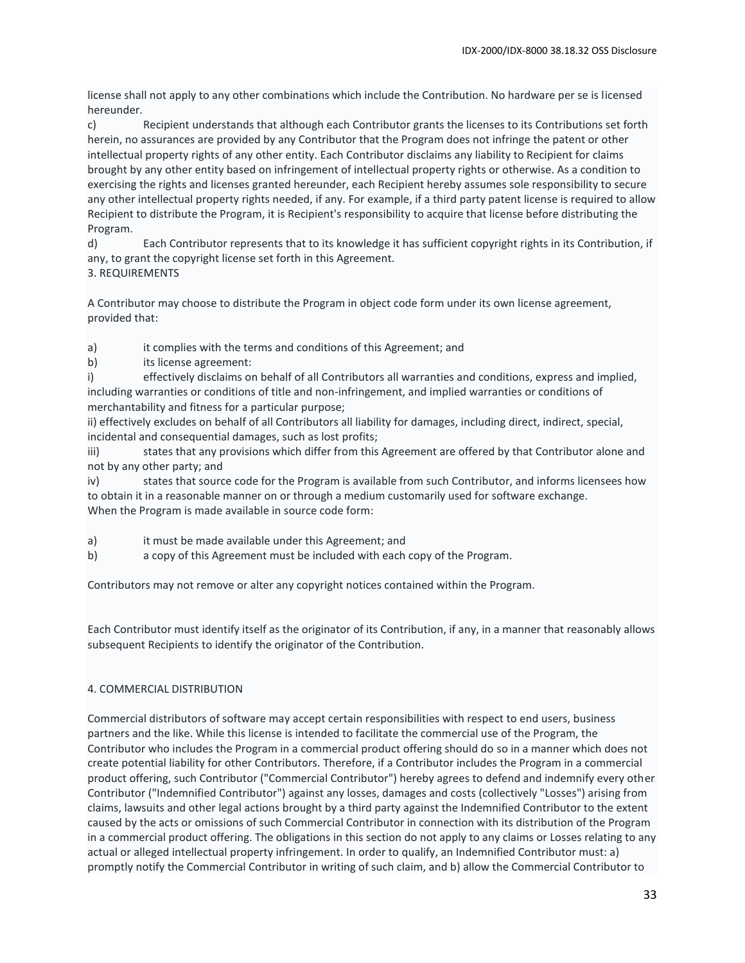license shall not apply to any other combinations which include the Contribution. No hardware per se is licensed hereunder.

c) Recipient understands that although each Contributor grants the licenses to its Contributions set forth herein, no assurances are provided by any Contributor that the Program does not infringe the patent or other intellectual property rights of any other entity. Each Contributor disclaims any liability to Recipient for claims brought by any other entity based on infringement of intellectual property rights or otherwise. As a condition to exercising the rights and licenses granted hereunder, each Recipient hereby assumes sole responsibility to secure any other intellectual property rights needed, if any. For example, if a third party patent license is required to allow Recipient to distribute the Program, it is Recipient's responsibility to acquire that license before distributing the Program.

d) Each Contributor represents that to its knowledge it has sufficient copyright rights in its Contribution, if any, to grant the copyright license set forth in this Agreement. 3. REQUIREMENTS

A Contributor may choose to distribute the Program in object code form under its own license agreement, provided that:

a) it complies with the terms and conditions of this Agreement; and

b) its license agreement:

i) effectively disclaims on behalf of all Contributors all warranties and conditions, express and implied, including warranties or conditions of title and non-infringement, and implied warranties or conditions of merchantability and fitness for a particular purpose;

ii) effectively excludes on behalf of all Contributors all liability for damages, including direct, indirect, special, incidental and consequential damages, such as lost profits;

iii) states that any provisions which differ from this Agreement are offered by that Contributor alone and not by any other party; and

iv) states that source code for the Program is available from such Contributor, and informs licensees how to obtain it in a reasonable manner on or through a medium customarily used for software exchange. When the Program is made available in source code form:

- a) it must be made available under this Agreement; and
- b) a copy of this Agreement must be included with each copy of the Program.

Contributors may not remove or alter any copyright notices contained within the Program.

Each Contributor must identify itself as the originator of its Contribution, if any, in a manner that reasonably allows subsequent Recipients to identify the originator of the Contribution.

# 4. COMMERCIAL DISTRIBUTION

Commercial distributors of software may accept certain responsibilities with respect to end users, business partners and the like. While this license is intended to facilitate the commercial use of the Program, the Contributor who includes the Program in a commercial product offering should do so in a manner which does not create potential liability for other Contributors. Therefore, if a Contributor includes the Program in a commercial product offering, such Contributor ("Commercial Contributor") hereby agrees to defend and indemnify every other Contributor ("Indemnified Contributor") against any losses, damages and costs (collectively "Losses") arising from claims, lawsuits and other legal actions brought by a third party against the Indemnified Contributor to the extent caused by the acts or omissions of such Commercial Contributor in connection with its distribution of the Program in a commercial product offering. The obligations in this section do not apply to any claims or Losses relating to any actual or alleged intellectual property infringement. In order to qualify, an Indemnified Contributor must: a) promptly notify the Commercial Contributor in writing of such claim, and b) allow the Commercial Contributor to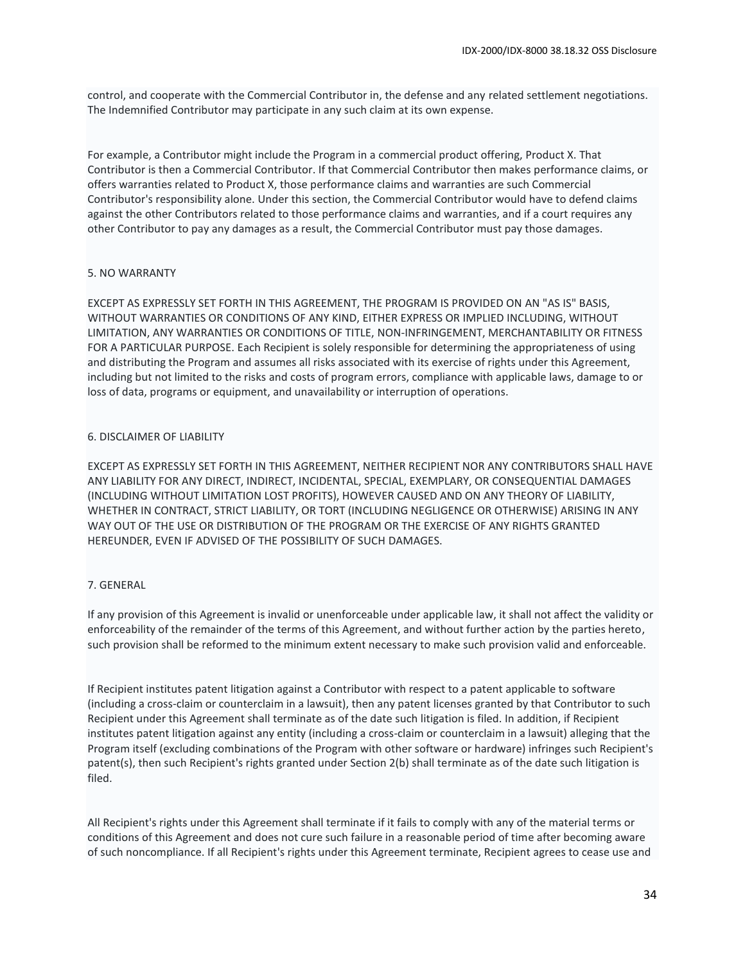control, and cooperate with the Commercial Contributor in, the defense and any related settlement negotiations. The Indemnified Contributor may participate in any such claim at its own expense.

For example, a Contributor might include the Program in a commercial product offering, Product X. That Contributor is then a Commercial Contributor. If that Commercial Contributor then makes performance claims, or offers warranties related to Product X, those performance claims and warranties are such Commercial Contributor's responsibility alone. Under this section, the Commercial Contributor would have to defend claims against the other Contributors related to those performance claims and warranties, and if a court requires any other Contributor to pay any damages as a result, the Commercial Contributor must pay those damages.

#### 5. NO WARRANTY

EXCEPT AS EXPRESSLY SET FORTH IN THIS AGREEMENT, THE PROGRAM IS PROVIDED ON AN "AS IS" BASIS, WITHOUT WARRANTIES OR CONDITIONS OF ANY KIND, EITHER EXPRESS OR IMPLIED INCLUDING, WITHOUT LIMITATION, ANY WARRANTIES OR CONDITIONS OF TITLE, NON-INFRINGEMENT, MERCHANTABILITY OR FITNESS FOR A PARTICULAR PURPOSE. Each Recipient is solely responsible for determining the appropriateness of using and distributing the Program and assumes all risks associated with its exercise of rights under this Agreement, including but not limited to the risks and costs of program errors, compliance with applicable laws, damage to or loss of data, programs or equipment, and unavailability or interruption of operations.

#### 6. DISCLAIMER OF LIABILITY

EXCEPT AS EXPRESSLY SET FORTH IN THIS AGREEMENT, NEITHER RECIPIENT NOR ANY CONTRIBUTORS SHALL HAVE ANY LIABILITY FOR ANY DIRECT, INDIRECT, INCIDENTAL, SPECIAL, EXEMPLARY, OR CONSEQUENTIAL DAMAGES (INCLUDING WITHOUT LIMITATION LOST PROFITS), HOWEVER CAUSED AND ON ANY THEORY OF LIABILITY, WHETHER IN CONTRACT, STRICT LIABILITY, OR TORT (INCLUDING NEGLIGENCE OR OTHERWISE) ARISING IN ANY WAY OUT OF THE USE OR DISTRIBUTION OF THE PROGRAM OR THE EXERCISE OF ANY RIGHTS GRANTED HEREUNDER, EVEN IF ADVISED OF THE POSSIBILITY OF SUCH DAMAGES.

#### 7. GENERAL

If any provision of this Agreement is invalid or unenforceable under applicable law, it shall not affect the validity or enforceability of the remainder of the terms of this Agreement, and without further action by the parties hereto, such provision shall be reformed to the minimum extent necessary to make such provision valid and enforceable.

If Recipient institutes patent litigation against a Contributor with respect to a patent applicable to software (including a cross-claim or counterclaim in a lawsuit), then any patent licenses granted by that Contributor to such Recipient under this Agreement shall terminate as of the date such litigation is filed. In addition, if Recipient institutes patent litigation against any entity (including a cross-claim or counterclaim in a lawsuit) alleging that the Program itself (excluding combinations of the Program with other software or hardware) infringes such Recipient's patent(s), then such Recipient's rights granted under Section 2(b) shall terminate as of the date such litigation is filed.

All Recipient's rights under this Agreement shall terminate if it fails to comply with any of the material terms or conditions of this Agreement and does not cure such failure in a reasonable period of time after becoming aware of such noncompliance. If all Recipient's rights under this Agreement terminate, Recipient agrees to cease use and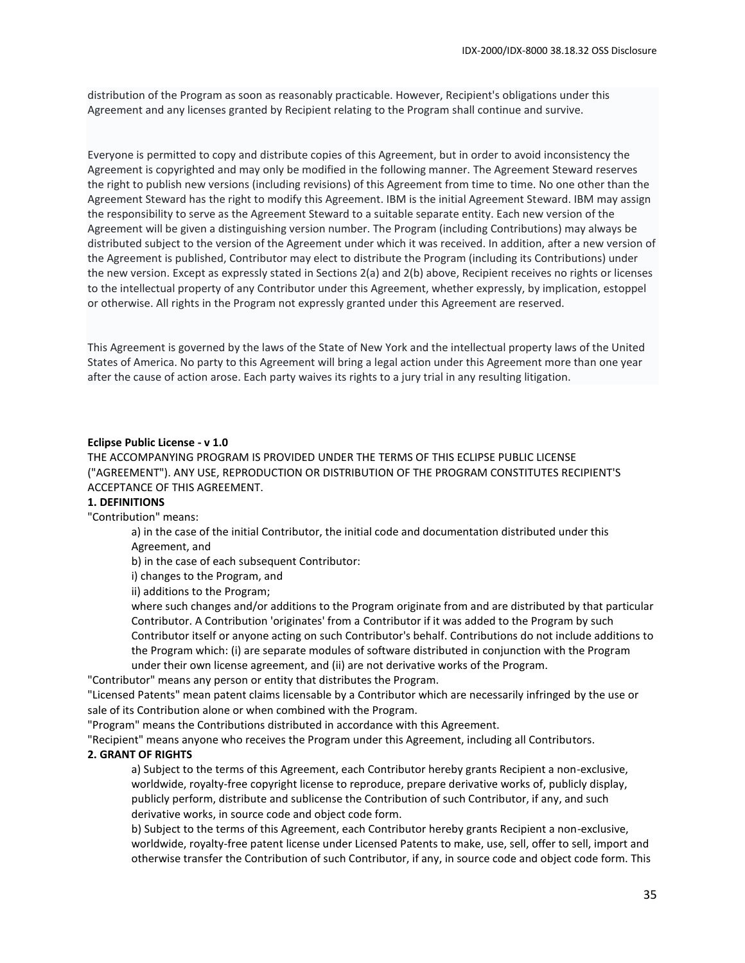distribution of the Program as soon as reasonably practicable. However, Recipient's obligations under this Agreement and any licenses granted by Recipient relating to the Program shall continue and survive.

Everyone is permitted to copy and distribute copies of this Agreement, but in order to avoid inconsistency the Agreement is copyrighted and may only be modified in the following manner. The Agreement Steward reserves the right to publish new versions (including revisions) of this Agreement from time to time. No one other than the Agreement Steward has the right to modify this Agreement. IBM is the initial Agreement Steward. IBM may assign the responsibility to serve as the Agreement Steward to a suitable separate entity. Each new version of the Agreement will be given a distinguishing version number. The Program (including Contributions) may always be distributed subject to the version of the Agreement under which it was received. In addition, after a new version of the Agreement is published, Contributor may elect to distribute the Program (including its Contributions) under the new version. Except as expressly stated in Sections 2(a) and 2(b) above, Recipient receives no rights or licenses to the intellectual property of any Contributor under this Agreement, whether expressly, by implication, estoppel or otherwise. All rights in the Program not expressly granted under this Agreement are reserved.

This Agreement is governed by the laws of the State of New York and the intellectual property laws of the United States of America. No party to this Agreement will bring a legal action under this Agreement more than one year after the cause of action arose. Each party waives its rights to a jury trial in any resulting litigation.

#### **Eclipse Public License - v 1.0**

THE ACCOMPANYING PROGRAM IS PROVIDED UNDER THE TERMS OF THIS ECLIPSE PUBLIC LICENSE ("AGREEMENT"). ANY USE, REPRODUCTION OR DISTRIBUTION OF THE PROGRAM CONSTITUTES RECIPIENT'S ACCEPTANCE OF THIS AGREEMENT.

#### **1. DEFINITIONS**

#### "Contribution" means:

a) in the case of the initial Contributor, the initial code and documentation distributed under this Agreement, and

b) in the case of each subsequent Contributor:

i) changes to the Program, and

ii) additions to the Program;

where such changes and/or additions to the Program originate from and are distributed by that particular Contributor. A Contribution 'originates' from a Contributor if it was added to the Program by such Contributor itself or anyone acting on such Contributor's behalf. Contributions do not include additions to the Program which: (i) are separate modules of software distributed in conjunction with the Program under their own license agreement, and (ii) are not derivative works of the Program.

"Contributor" means any person or entity that distributes the Program.

"Licensed Patents" mean patent claims licensable by a Contributor which are necessarily infringed by the use or sale of its Contribution alone or when combined with the Program.

"Program" means the Contributions distributed in accordance with this Agreement.

"Recipient" means anyone who receives the Program under this Agreement, including all Contributors.

#### **2. GRANT OF RIGHTS**

a) Subject to the terms of this Agreement, each Contributor hereby grants Recipient a non-exclusive, worldwide, royalty-free copyright license to reproduce, prepare derivative works of, publicly display, publicly perform, distribute and sublicense the Contribution of such Contributor, if any, and such derivative works, in source code and object code form.

b) Subject to the terms of this Agreement, each Contributor hereby grants Recipient a non-exclusive, worldwide, royalty-free patent license under Licensed Patents to make, use, sell, offer to sell, import and otherwise transfer the Contribution of such Contributor, if any, in source code and object code form. This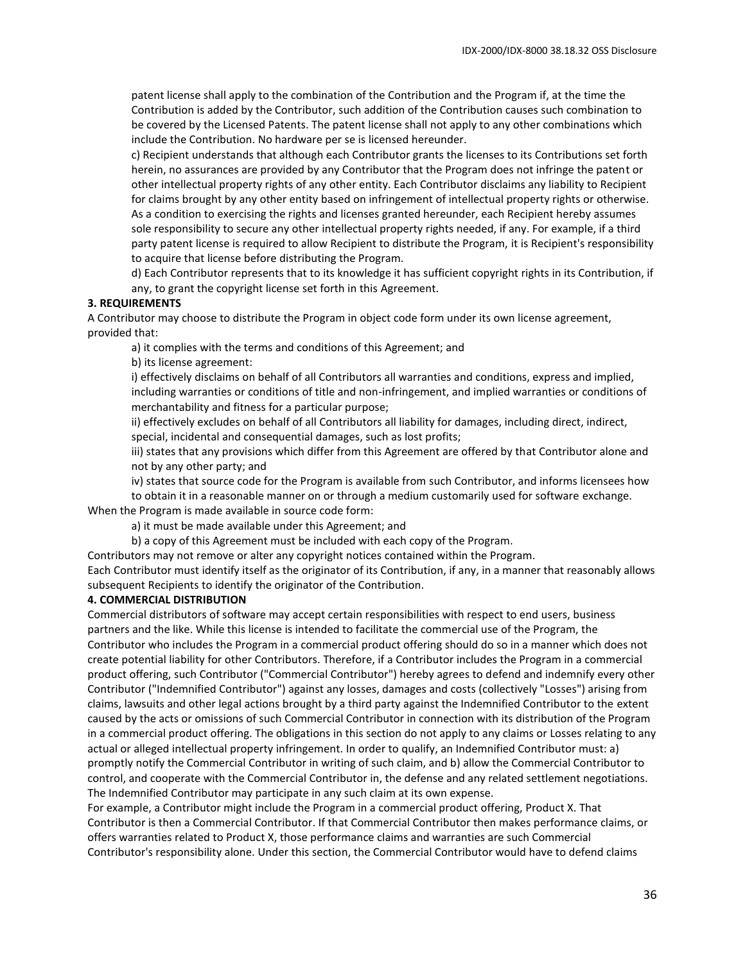patent license shall apply to the combination of the Contribution and the Program if, at the time the Contribution is added by the Contributor, such addition of the Contribution causes such combination to be covered by the Licensed Patents. The patent license shall not apply to any other combinations which include the Contribution. No hardware per se is licensed hereunder.

c) Recipient understands that although each Contributor grants the licenses to its Contributions set forth herein, no assurances are provided by any Contributor that the Program does not infringe the patent or other intellectual property rights of any other entity. Each Contributor disclaims any liability to Recipient for claims brought by any other entity based on infringement of intellectual property rights or otherwise. As a condition to exercising the rights and licenses granted hereunder, each Recipient hereby assumes sole responsibility to secure any other intellectual property rights needed, if any. For example, if a third party patent license is required to allow Recipient to distribute the Program, it is Recipient's responsibility to acquire that license before distributing the Program.

d) Each Contributor represents that to its knowledge it has sufficient copyright rights in its Contribution, if any, to grant the copyright license set forth in this Agreement.

#### **3. REQUIREMENTS**

A Contributor may choose to distribute the Program in object code form under its own license agreement, provided that:

a) it complies with the terms and conditions of this Agreement; and

b) its license agreement:

i) effectively disclaims on behalf of all Contributors all warranties and conditions, express and implied, including warranties or conditions of title and non-infringement, and implied warranties or conditions of merchantability and fitness for a particular purpose;

ii) effectively excludes on behalf of all Contributors all liability for damages, including direct, indirect, special, incidental and consequential damages, such as lost profits;

iii) states that any provisions which differ from this Agreement are offered by that Contributor alone and not by any other party; and

iv) states that source code for the Program is available from such Contributor, and informs licensees how

to obtain it in a reasonable manner on or through a medium customarily used for software exchange.

When the Program is made available in source code form:

a) it must be made available under this Agreement; and

b) a copy of this Agreement must be included with each copy of the Program.

Contributors may not remove or alter any copyright notices contained within the Program.

Each Contributor must identify itself as the originator of its Contribution, if any, in a manner that reasonably allows subsequent Recipients to identify the originator of the Contribution.

#### **4. COMMERCIAL DISTRIBUTION**

Commercial distributors of software may accept certain responsibilities with respect to end users, business partners and the like. While this license is intended to facilitate the commercial use of the Program, the Contributor who includes the Program in a commercial product offering should do so in a manner which does not create potential liability for other Contributors. Therefore, if a Contributor includes the Program in a commercial product offering, such Contributor ("Commercial Contributor") hereby agrees to defend and indemnify every other Contributor ("Indemnified Contributor") against any losses, damages and costs (collectively "Losses") arising from claims, lawsuits and other legal actions brought by a third party against the Indemnified Contributor to the extent caused by the acts or omissions of such Commercial Contributor in connection with its distribution of the Program in a commercial product offering. The obligations in this section do not apply to any claims or Losses relating to any actual or alleged intellectual property infringement. In order to qualify, an Indemnified Contributor must: a) promptly notify the Commercial Contributor in writing of such claim, and b) allow the Commercial Contributor to control, and cooperate with the Commercial Contributor in, the defense and any related settlement negotiations. The Indemnified Contributor may participate in any such claim at its own expense.

For example, a Contributor might include the Program in a commercial product offering, Product X. That Contributor is then a Commercial Contributor. If that Commercial Contributor then makes performance claims, or offers warranties related to Product X, those performance claims and warranties are such Commercial Contributor's responsibility alone. Under this section, the Commercial Contributor would have to defend claims